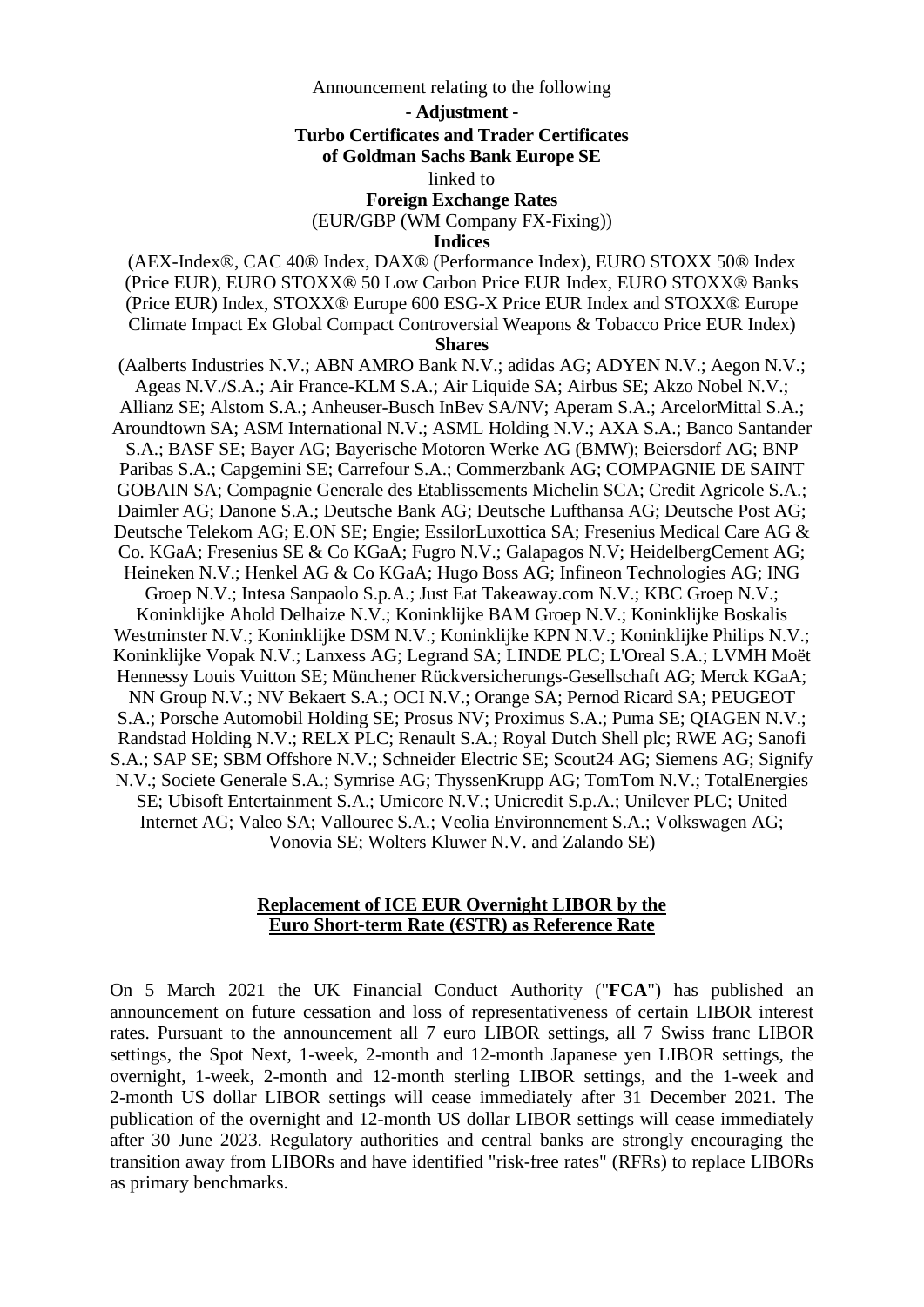#### Announcement relating to the following

**- Adjustment -** 

#### **Turbo Certificates and Trader Certificates**

**of Goldman Sachs Bank Europe SE** 

linked to

## **Foreign Exchange Rates**

(EUR/GBP (WM Company FX-Fixing))

#### **Indices**

(AEX-Index®, CAC 40® Index, DAX® (Performance Index), EURO STOXX 50® Index (Price EUR), EURO STOXX® 50 Low Carbon Price EUR Index, EURO STOXX® Banks (Price EUR) Index, STOXX® Europe 600 ESG-X Price EUR Index and STOXX® Europe Climate Impact Ex Global Compact Controversial Weapons & Tobacco Price EUR Index)

## **Shares**

(Aalberts Industries N.V.; ABN AMRO Bank N.V.; adidas AG; ADYEN N.V.; Aegon N.V.; Ageas N.V./S.A.; Air France-KLM S.A.; Air Liquide SA; Airbus SE; Akzo Nobel N.V.; Allianz SE; Alstom S.A.; Anheuser-Busch InBev SA/NV; Aperam S.A.; ArcelorMittal S.A.; Aroundtown SA; ASM International N.V.; ASML Holding N.V.; AXA S.A.; Banco Santander S.A.; BASF SE; Bayer AG; Bayerische Motoren Werke AG (BMW); Beiersdorf AG; BNP Paribas S.A.; Capgemini SE; Carrefour S.A.; Commerzbank AG; COMPAGNIE DE SAINT GOBAIN SA; Compagnie Generale des Etablissements Michelin SCA; Credit Agricole S.A.; Daimler AG; Danone S.A.; Deutsche Bank AG; Deutsche Lufthansa AG; Deutsche Post AG; Deutsche Telekom AG; E.ON SE; Engie; EssilorLuxottica SA; Fresenius Medical Care AG & Co. KGaA; Fresenius SE & Co KGaA; Fugro N.V.; Galapagos N.V; HeidelbergCement AG; Heineken N.V.; Henkel AG & Co KGaA; Hugo Boss AG; Infineon Technologies AG; ING Groep N.V.; Intesa Sanpaolo S.p.A.; Just Eat Takeaway.com N.V.; KBC Groep N.V.; Koninklijke Ahold Delhaize N.V.; Koninklijke BAM Groep N.V.; Koninklijke Boskalis Westminster N.V.; Koninklijke DSM N.V.; Koninklijke KPN N.V.; Koninklijke Philips N.V.; Koninklijke Vopak N.V.; Lanxess AG; Legrand SA; LINDE PLC; L'Oreal S.A.; LVMH Moët Hennessy Louis Vuitton SE; Münchener Rückversicherungs-Gesellschaft AG; Merck KGaA; NN Group N.V.; NV Bekaert S.A.; OCI N.V.; Orange SA; Pernod Ricard SA; PEUGEOT S.A.; Porsche Automobil Holding SE; Prosus NV; Proximus S.A.; Puma SE; QIAGEN N.V.; Randstad Holding N.V.; RELX PLC; Renault S.A.; Royal Dutch Shell plc; RWE AG; Sanofi S.A.; SAP SE; SBM Offshore N.V.; Schneider Electric SE; Scout24 AG; Siemens AG; Signify N.V.; Societe Generale S.A.; Symrise AG; ThyssenKrupp AG; TomTom N.V.; TotalEnergies SE; Ubisoft Entertainment S.A.; Umicore N.V.; Unicredit S.p.A.; Unilever PLC; United Internet AG; Valeo SA; Vallourec S.A.; Veolia Environnement S.A.; Volkswagen AG; Vonovia SE; Wolters Kluwer N.V. and Zalando SE)

### **Replacement of ICE EUR Overnight LIBOR by the Euro Short-term Rate (€STR) as Reference Rate**

On 5 March 2021 the UK Financial Conduct Authority ("**FCA**") has published an [announcement on future cessation and loss of representativeness of certain LIBOR interest](https://www.fca.org.uk/publication/documents/future-cessation-loss-representativeness-libor-benchmarks.pdf)  [rates. Pursuant to the announcement all 7 euro LIBOR settings, all 7 Swiss franc LIBOR](https://www.fca.org.uk/publication/documents/future-cessation-loss-representativeness-libor-benchmarks.pdf)  settings, the Spot Next, 1-week, 2-month and 12-month Japanese yen LIBOR settings, the overnight, 1-week, 2-month and 12-month sterling LIBOR settings, and the 1-week and 2-month US dollar LIBOR settings will cease immediately after 31 December 2021. The publication of the overnight and 12-month US dollar LIBOR settings will cease immediately after 30 June 2023. Regulatory authorities and central banks are strongly encouraging the transition away from LIBORs and have identified "risk-free rates" (RFRs) to replace LIBORs as primary benchmarks.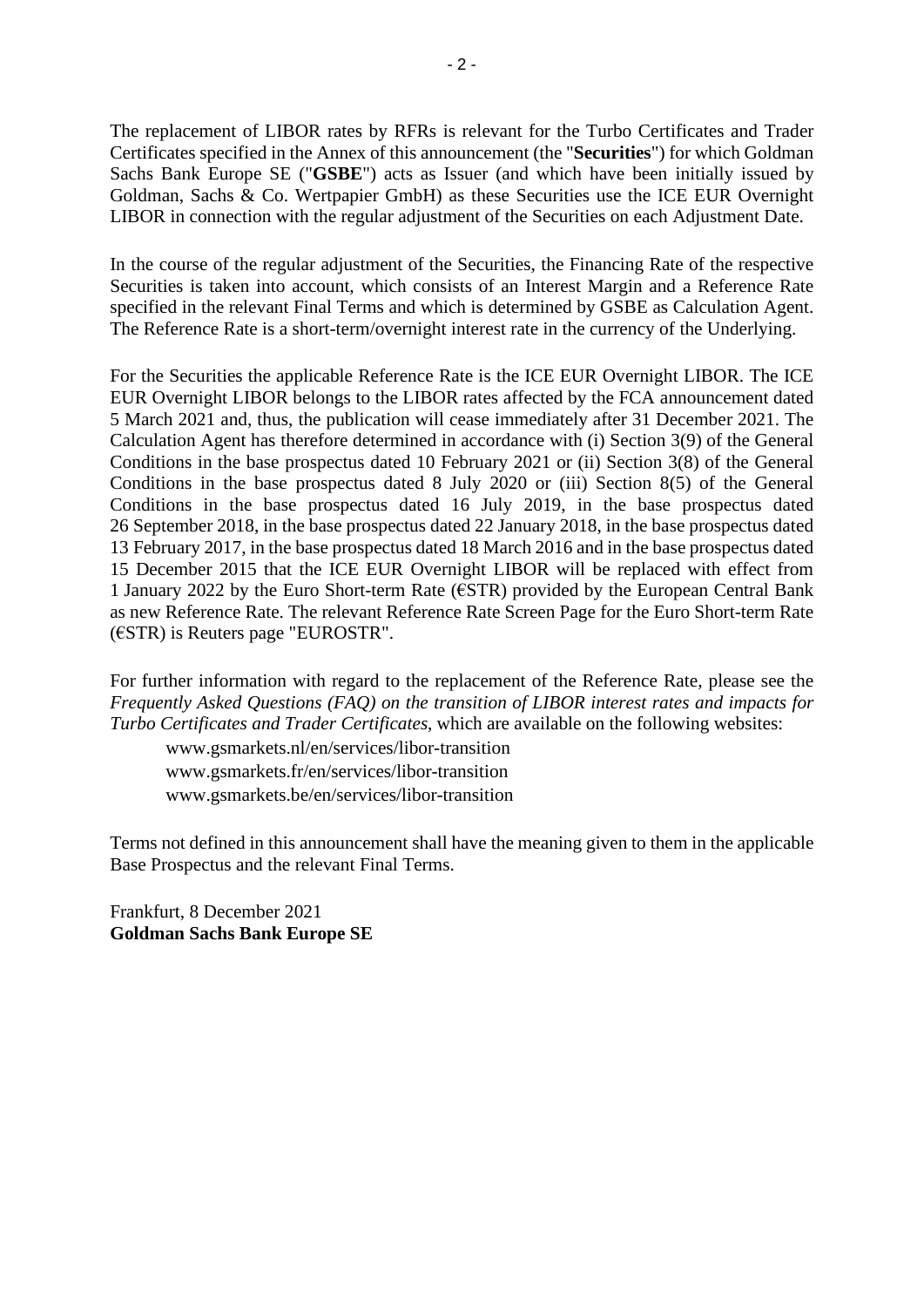The replacement of LIBOR rates by RFRs is relevant for the Turbo Certificates and Trader Certificates specified in the Annex of this announcement (the "**Securities**") for which Goldman Sachs Bank Europe SE ("**GSBE**") acts as Issuer (and which have been initially issued by Goldman, Sachs & Co. Wertpapier GmbH) as these Securities use the ICE EUR Overnight LIBOR in connection with the regular adjustment of the Securities on each Adjustment Date.

In the course of the regular adjustment of the Securities, the Financing Rate of the respective Securities is taken into account, which consists of an Interest Margin and a Reference Rate specified in the relevant Final Terms and which is determined by GSBE as Calculation Agent. The Reference Rate is a short-term/overnight interest rate in the currency of the Underlying.

For the Securities the applicable Reference Rate is the ICE EUR Overnight LIBOR. The ICE EUR Overnight LIBOR belongs to the LIBOR rates affected by the FCA announcement dated 5 March 2021 and, thus, the publication will cease immediately after 31 December 2021. The Calculation Agent has therefore determined in accordance with (i) Section 3(9) of the General Conditions in the base prospectus dated 10 February 2021 or (ii) Section 3(8) of the General Conditions in the base prospectus dated 8 July 2020 or (iii) Section 8(5) of the General Conditions in the base prospectus dated 16 July 2019, in the base prospectus dated 26 September 2018, in the base prospectus dated 22 January 2018, in the base prospectus dated 13 February 2017, in the base prospectus dated 18 March 2016 and in the base prospectus dated 15 December 2015 that the ICE EUR Overnight LIBOR will be replaced with effect from 1 January 2022 by the Euro Short-term Rate ( $\epsilon$ STR) provided by the European Central Bank as new Reference Rate. The relevant Reference Rate Screen Page for the Euro Short-term Rate (€STR) is Reuters page "EUROSTR".

For further information with regard to the replacement of the Reference Rate, please see the *Frequently Asked Questions (FAQ) on the transition of LIBOR interest rates and impacts for Turbo Certificates and Trader Certificates*, which are available on the following websites:

www.gsmarkets.nl/en/services/libor-transition www.gsmarkets.fr/en/services/libor-transition www.gsmarkets.be/en/services/libor-transition

Terms not defined in this announcement shall have the meaning given to them in the applicable Base Prospectus and the relevant Final Terms.

Frankfurt, 8 December 2021 **Goldman Sachs Bank Europe SE**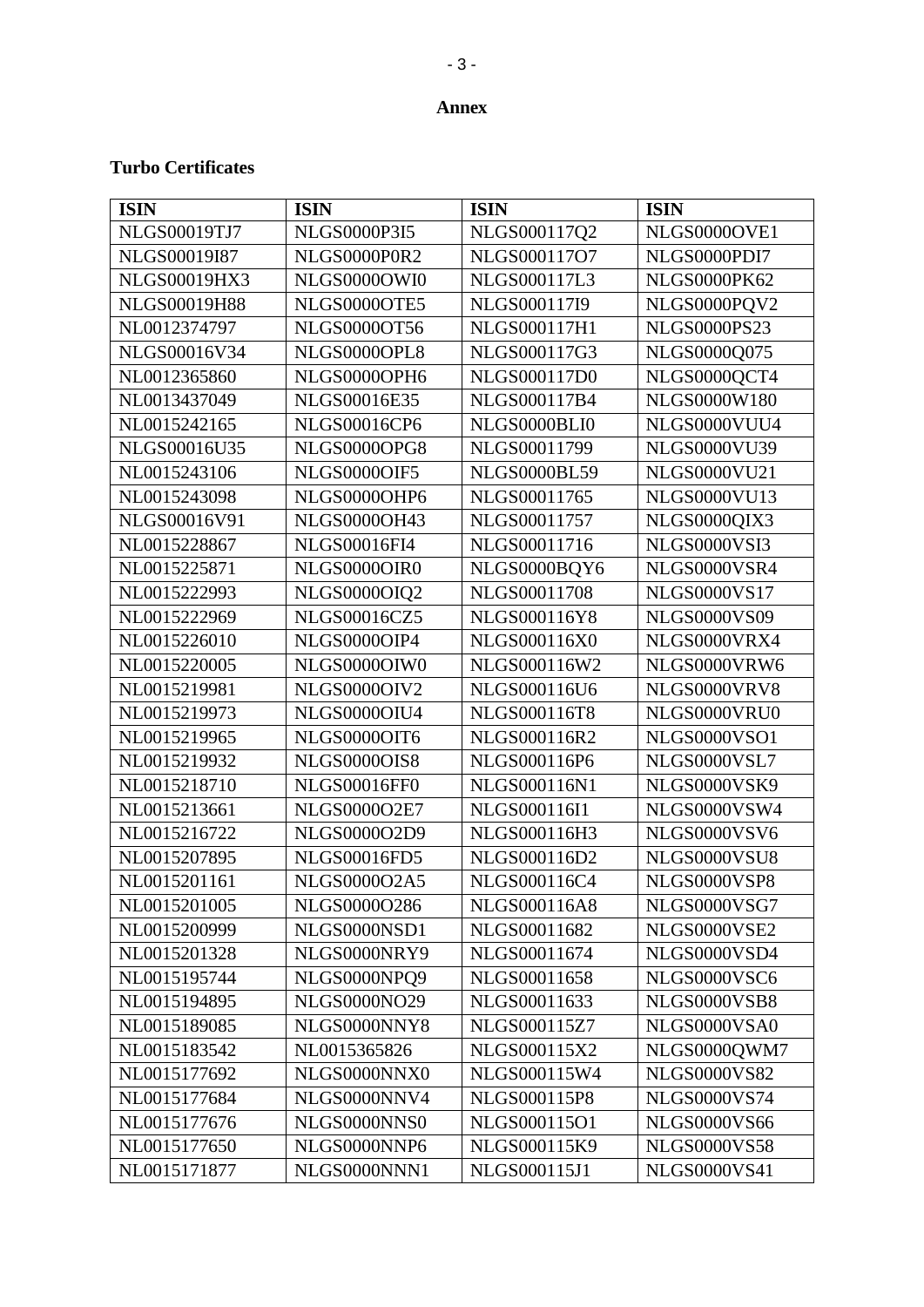## **Annex**

## **Turbo Certificates**

| <b>ISIN</b>         | <b>ISIN</b>         | <b>ISIN</b>         | <b>ISIN</b>         |
|---------------------|---------------------|---------------------|---------------------|
| NLGS00019TJ7        | <b>NLGS0000P3I5</b> | NLGS000117Q2        | NLGS0000OVE1        |
| NLGS00019I87        | NLGS0000P0R2        | NLGS000117O7        | NLGS0000PDI7        |
| <b>NLGS00019HX3</b> | NLGS0000OWI0        | NLGS000117L3        | <b>NLGS0000PK62</b> |
| NLGS00019H88        | NLGS0000OTE5        | NLGS000117I9        | NLGS0000PQV2        |
| NL0012374797        | <b>NLGS0000OT56</b> | NLGS000117H1        | <b>NLGS0000PS23</b> |
| NLGS00016V34        | NLGS0000OPL8        | NLGS000117G3        | NLGS0000Q075        |
| NL0012365860        | NLGS0000OPH6        | NLGS000117D0        | NLGS0000QCT4        |
| NL0013437049        | NLGS00016E35        | NLGS000117B4        | NLGS0000W180        |
| NL0015242165        | <b>NLGS00016CP6</b> | NLGS0000BLI0        | NLGS0000VUU4        |
| NLGS00016U35        | <b>NLGS0000OPG8</b> | NLGS00011799        | <b>NLGS0000VU39</b> |
| NL0015243106        | NLGS0000OIF5        | <b>NLGS0000BL59</b> | <b>NLGS0000VU21</b> |
| NL0015243098        | NLGS0000OHP6        | NLGS00011765        | <b>NLGS0000VU13</b> |
| NLGS00016V91        | <b>NLGS0000OH43</b> | NLGS00011757        | NLGS0000QIX3        |
| NL0015228867        | NLGS00016FI4        | NLGS00011716        | NLGS0000VSI3        |
| NL0015225871        | NLGS0000OIR0        | NLGS0000BQY6        | NLGS0000VSR4        |
| NL0015222993        | NLGS0000OIQ2        | NLGS00011708        | <b>NLGS0000VS17</b> |
| NL0015222969        | <b>NLGS00016CZ5</b> | NLGS000116Y8        | <b>NLGS0000VS09</b> |
| NL0015226010        | NLGS0000OIP4        | NLGS000116X0        | NLGS0000VRX4        |
| NL0015220005        | NLGS00000IW0        | NLGS000116W2        | NLGS0000VRW6        |
| NL0015219981        | NLGS0000OIV2        | NLGS000116U6        | NLGS0000VRV8        |
| NL0015219973        | NLGS0000OIU4        | NLGS000116T8        | NLGS0000VRU0        |
| NL0015219965        | NLGS0000OIT6        | NLGS000116R2        | NLGS0000VSO1        |
| NL0015219932        | NLGS0000OIS8        | NLGS000116P6        | NLGS0000VSL7        |
| NL0015218710        | <b>NLGS00016FF0</b> | NLGS000116N1        | NLGS0000VSK9        |
| NL0015213661        | NLGS0000O2E7        | NLGS000116I1        | NLGS0000VSW4        |
| NL0015216722        | NLGS000002D9        | NLGS000116H3        | NLGS0000VSV6        |
| NL0015207895        | <b>NLGS00016FD5</b> | NLGS000116D2        | NLGS0000VSU8        |
| NL0015201161        | NLGS0000O2A5        | NLGS000116C4        | NLGS0000VSP8        |
| NL0015201005        | NLGS0000O286        | NLGS000116A8        | NLGS0000VSG7        |
| NL0015200999        | NLGS0000NSD1        | NLGS00011682        | NLGS0000VSE2        |
| NL0015201328        | NLGS0000NRY9        | NLGS00011674        | NLGS0000VSD4        |
| NL0015195744        | NLGS0000NPQ9        | NLGS00011658        | NLGS0000VSC6        |
| NL0015194895        | <b>NLGS0000NO29</b> | NLGS00011633        | NLGS0000VSB8        |
| NL0015189085        | NLGS0000NNY8        | NLGS000115Z7        | NLGS0000VSA0        |
| NL0015183542        | NL0015365826        | NLGS000115X2        | NLGS0000QWM7        |
| NL0015177692        | NLGS0000NNX0        | NLGS000115W4        | <b>NLGS0000VS82</b> |
| NL0015177684        | NLGS0000NNV4        | NLGS000115P8        | <b>NLGS0000VS74</b> |
| NL0015177676        | NLGS0000NNS0        | NLGS000115O1        | <b>NLGS0000VS66</b> |
| NL0015177650        | NLGS0000NNP6        | NLGS000115K9        | <b>NLGS0000VS58</b> |
| NL0015171877        | NLGS0000NNN1        | NLGS000115J1        | <b>NLGS0000VS41</b> |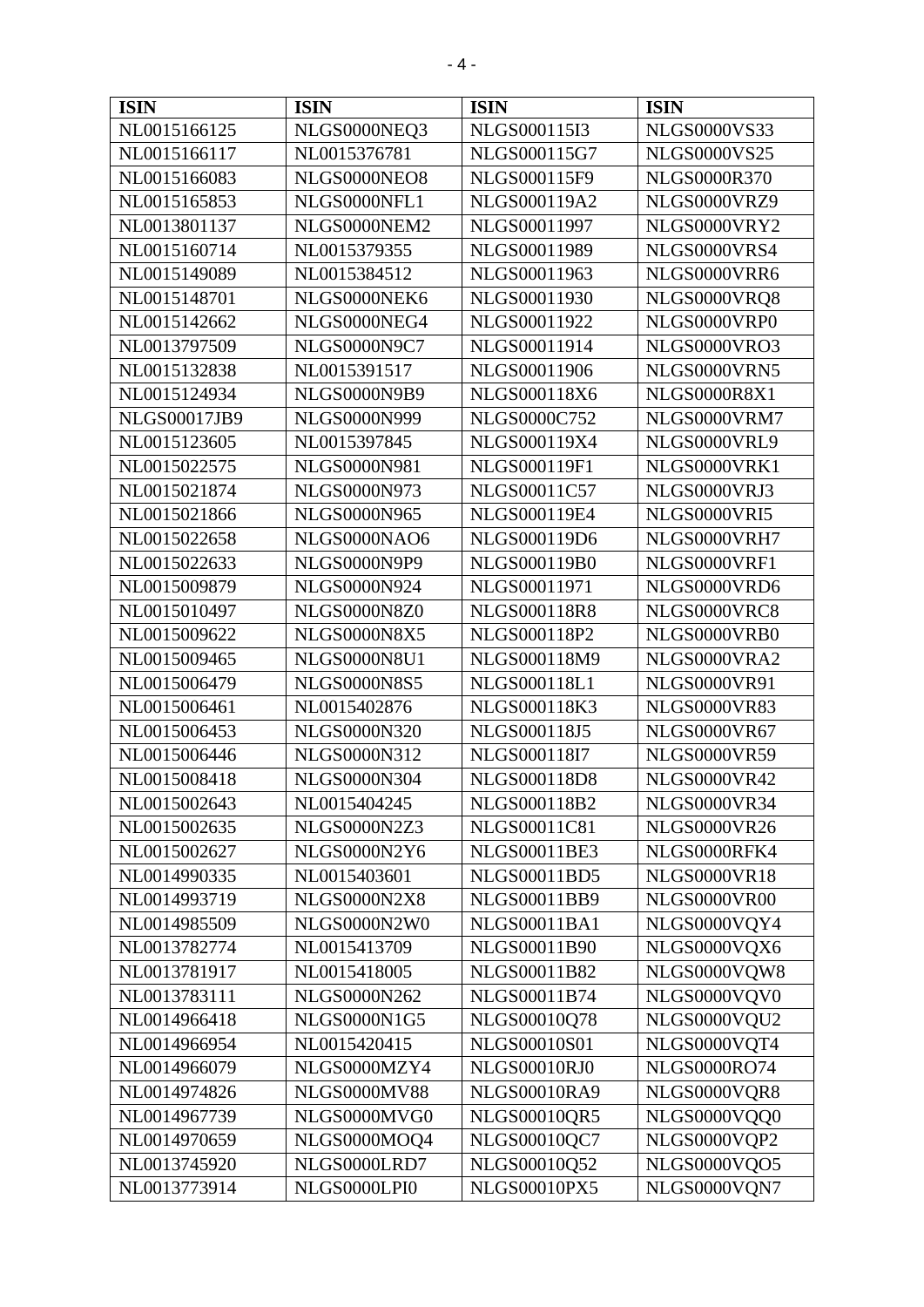| <b>ISIN</b>         | <b>ISIN</b>         | <b>ISIN</b>         | <b>ISIN</b>         |
|---------------------|---------------------|---------------------|---------------------|
| NL0015166125        | NLGS0000NEQ3        | NLGS000115I3        | <b>NLGS0000VS33</b> |
| NL0015166117        | NL0015376781        | NLGS000115G7        | <b>NLGS0000VS25</b> |
| NL0015166083        | NLGS0000NEO8        | NLGS000115F9        | <b>NLGS0000R370</b> |
| NL0015165853        | NLGS0000NFL1        | NLGS000119A2        | NLGS0000VRZ9        |
| NL0013801137        | NLGS0000NEM2        | NLGS00011997        | NLGS0000VRY2        |
| NL0015160714        | NL0015379355        | NLGS00011989        | NLGS0000VRS4        |
| NL0015149089        | NL0015384512        | NLGS00011963        | NLGS0000VRR6        |
| NL0015148701        | NLGS0000NEK6        | NLGS00011930        | NLGS0000VRQ8        |
| NL0015142662        | NLGS0000NEG4        | NLGS00011922        | NLGS0000VRP0        |
| NL0013797509        | NLGS0000N9C7        | NLGS00011914        | NLGS0000VRO3        |
| NL0015132838        | NL0015391517        | NLGS00011906        | NLGS0000VRN5        |
| NL0015124934        | NLGS0000N9B9        | NLGS000118X6        | NLGS0000R8X1        |
| <b>NLGS00017JB9</b> | NLGS0000N999        | NLGS0000C752        | NLGS0000VRM7        |
| NL0015123605        | NL0015397845        | NLGS000119X4        | NLGS0000VRL9        |
| NL0015022575        | NLGS0000N981        | NLGS000119F1        | NLGS0000VRK1        |
| NL0015021874        | NLGS0000N973        | NLGS00011C57        | NLGS0000VRJ3        |
| NL0015021866        | <b>NLGS0000N965</b> | <b>NLGS000119E4</b> | NLGS0000VRI5        |
| NL0015022658        | NLGS0000NAO6        | NLGS000119D6        | NLGS0000VRH7        |
| NL0015022633        | NLGS0000N9P9        | NLGS000119B0        | NLGS0000VRF1        |
| NL0015009879        | NLGS0000N924        | NLGS00011971        | NLGS0000VRD6        |
| NL0015010497        | NLGS0000N8Z0        | <b>NLGS000118R8</b> | NLGS0000VRC8        |
| NL0015009622        | NLGS0000N8X5        | NLGS000118P2        | NLGS0000VRB0        |
| NL0015009465        | <b>NLGS0000N8U1</b> | NLGS000118M9        | NLGS0000VRA2        |
| NL0015006479        | <b>NLGS0000N8S5</b> | <b>NLGS000118L1</b> | <b>NLGS0000VR91</b> |
| NL0015006461        | NL0015402876        | NLGS000118K3        | <b>NLGS0000VR83</b> |
| NL0015006453        | <b>NLGS0000N320</b> | NLGS000118J5        | <b>NLGS0000VR67</b> |
| NL0015006446        | <b>NLGS0000N312</b> | NLGS000118I7        | <b>NLGS0000VR59</b> |
| NL0015008418        | NLGS0000N304        | NLGS000118D8        | <b>NLGS0000VR42</b> |
| NL0015002643        | NL0015404245        | <b>NLGS000118B2</b> | <b>NLGS0000VR34</b> |
| NL0015002635        | NLGS0000N2Z3        | NLGS00011C81        | <b>NLGS0000VR26</b> |
| NL0015002627        | NLGS0000N2Y6        | <b>NLGS00011BE3</b> | NLGS0000RFK4        |
| NL0014990335        | NL0015403601        | <b>NLGS00011BD5</b> | <b>NLGS0000VR18</b> |
| NL0014993719        | NLGS0000N2X8        | <b>NLGS00011BB9</b> | NLGS0000VR00        |
| NL0014985509        | NLGS0000N2W0        | <b>NLGS00011BA1</b> | NLGS0000VQY4        |
| NL0013782774        | NL0015413709        | NLGS00011B90        | NLGS0000VQX6        |
| NL0013781917        | NL0015418005        | NLGS00011B82        | NLGS0000VQW8        |
| NL0013783111        | NLGS0000N262        | NLGS00011B74        | NLGS0000VQV0        |
| NL0014966418        | <b>NLGS0000N1G5</b> | NLGS00010Q78        | NLGS0000VQU2        |
| NL0014966954        | NL0015420415        | NLGS00010S01        | NLGS0000VQT4        |
| NL0014966079        | NLGS0000MZY4        | <b>NLGS00010RJ0</b> | <b>NLGS0000RO74</b> |
| NL0014974826        | <b>NLGS0000MV88</b> | <b>NLGS00010RA9</b> | NLGS0000VQR8        |
| NL0014967739        | NLGS0000MVG0        | <b>NLGS00010QR5</b> | NLGS0000VQQ0        |
| NL0014970659        | NLGS0000MOQ4        | NLGS00010QC7        | NLGS0000VQP2        |
| NL0013745920        | NLGS0000LRD7        | NLGS00010Q52        | NLGS0000VQO5        |
| NL0013773914        | NLGS0000LPI0        | <b>NLGS00010PX5</b> | NLGS0000VQN7        |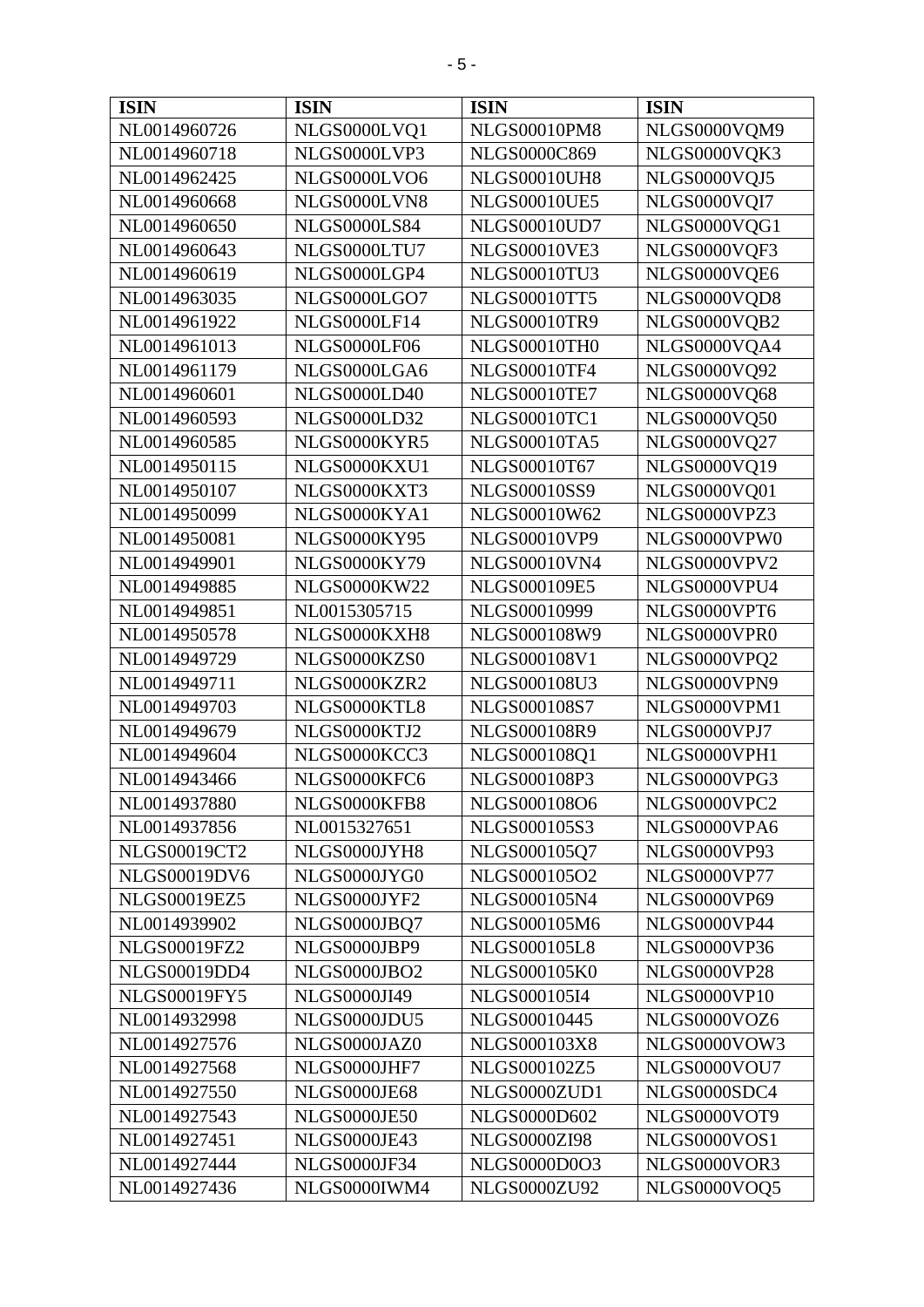| <b>ISIN</b>         | <b>ISIN</b>         | <b>ISIN</b>         | <b>ISIN</b>         |
|---------------------|---------------------|---------------------|---------------------|
| NL0014960726        | NLGS0000LVQ1        | <b>NLGS00010PM8</b> | NLGS0000VQM9        |
| NL0014960718        | NLGS0000LVP3        | NLGS0000C869        | NLGS0000VQK3        |
| NL0014962425        | NLGS0000LVO6        | <b>NLGS00010UH8</b> | NLGS0000VQJ5        |
| NL0014960668        | NLGS0000LVN8        | <b>NLGS00010UE5</b> | NLGS0000VQI7        |
| NL0014960650        | <b>NLGS0000LS84</b> | <b>NLGS00010UD7</b> | NLGS0000VQG1        |
| NL0014960643        | NLGS0000LTU7        | <b>NLGS00010VE3</b> | NLGS0000VQF3        |
| NL0014960619        | NLGS0000LGP4        | <b>NLGS00010TU3</b> | NLGS0000VQE6        |
| NL0014963035        | NLGS0000LGO7        | <b>NLGS00010TT5</b> | NLGS0000VQD8        |
| NL0014961922        | NLGS0000LF14        | <b>NLGS00010TR9</b> | NLGS0000VQB2        |
| NL0014961013        | NLGS0000LF06        | NLGS00010TH0        | NLGS0000VQA4        |
| NL0014961179        | NLGS0000LGA6        | <b>NLGS00010TF4</b> | NLGS0000VQ92        |
| NL0014960601        | <b>NLGS0000LD40</b> | <b>NLGS00010TE7</b> | <b>NLGS0000VQ68</b> |
| NL0014960593        | <b>NLGS0000LD32</b> | <b>NLGS00010TC1</b> | <b>NLGS0000VQ50</b> |
| NL0014960585        | NLGS0000KYR5        | <b>NLGS00010TA5</b> | NLGS0000VQ27        |
| NL0014950115        | NLGS0000KXU1        | NLGS00010T67        | NLGS0000VQ19        |
| NL0014950107        | NLGS0000KXT3        | <b>NLGS00010SS9</b> | NLGS0000VQ01        |
| NL0014950099        | NLGS0000KYA1        | NLGS00010W62        | NLGS0000VPZ3        |
| NL0014950081        | NLGS0000KY95        | <b>NLGS00010VP9</b> | NLGS0000VPW0        |
| NL0014949901        | <b>NLGS0000KY79</b> | <b>NLGS00010VN4</b> | NLGS0000VPV2        |
| NL0014949885        | <b>NLGS0000KW22</b> | NLGS000109E5        | NLGS0000VPU4        |
| NL0014949851        | NL0015305715        | NLGS00010999        | NLGS0000VPT6        |
| NL0014950578        | NLGS0000KXH8        | NLGS000108W9        | NLGS0000VPR0        |
| NL0014949729        | NLGS0000KZS0        | NLGS000108V1        | NLGS0000VPQ2        |
| NL0014949711        | NLGS0000KZR2        | <b>NLGS000108U3</b> | NLGS0000VPN9        |
| NL0014949703        | NLGS0000KTL8        | NLGS000108S7        | NLGS0000VPM1        |
| NL0014949679        | NLGS0000KTJ2        | NLGS000108R9        | NLGS0000VPJ7        |
| NL0014949604        | NLGS0000KCC3        | NLGS000108Q1        | NLGS0000VPH1        |
| NL0014943466        | NLGS0000KFC6        | NLGS000108P3        | NLGS0000VPG3        |
| NL0014937880        | NLGS0000KFB8        | NLGS000108O6        | NLGS0000VPC2        |
| NL0014937856        | NL0015327651        | NLGS000105S3        | NLGS0000VPA6        |
| <b>NLGS00019CT2</b> | NLGS0000JYH8        | NLGS000105Q7        | <b>NLGS0000VP93</b> |
| <b>NLGS00019DV6</b> | NLGS0000JYG0        | NLGS000105O2        | <b>NLGS0000VP77</b> |
| <b>NLGS00019EZ5</b> | NLGS0000JYF2        | NLGS000105N4        | <b>NLGS0000VP69</b> |
| NL0014939902        | NLGS0000JBQ7        | NLGS000105M6        | NLGS0000VP44        |
| <b>NLGS00019FZ2</b> | NLGS0000JBP9        | <b>NLGS000105L8</b> | <b>NLGS0000VP36</b> |
| <b>NLGS00019DD4</b> | NLGS0000JBO2        | NLGS000105K0        | <b>NLGS0000VP28</b> |
| <b>NLGS00019FY5</b> | NLGS0000JI49        | NLGS000105I4        | <b>NLGS0000VP10</b> |
| NL0014932998        | NLGS0000JDU5        | NLGS00010445        | NLGS0000VOZ6        |
| NL0014927576        | NLGS0000JAZ0        | NLGS000103X8        | NLGS0000VOW3        |
| NL0014927568        | NLGS0000JHF7        | NLGS000102Z5        | NLGS0000VOU7        |
| NL0014927550        | <b>NLGS0000JE68</b> | NLGS0000ZUD1        | NLGS0000SDC4        |
| NL0014927543        | <b>NLGS0000JE50</b> | <b>NLGS0000D602</b> | NLGS0000VOT9        |
| NL0014927451        | <b>NLGS0000JE43</b> | <b>NLGS0000ZI98</b> | NLGS0000VOS1        |
| NL0014927444        | <b>NLGS0000JF34</b> | NLGS0000D0O3        | NLGS0000VOR3        |
| NL0014927436        | NLGS0000IWM4        | <b>NLGS0000ZU92</b> | NLGS0000VOQ5        |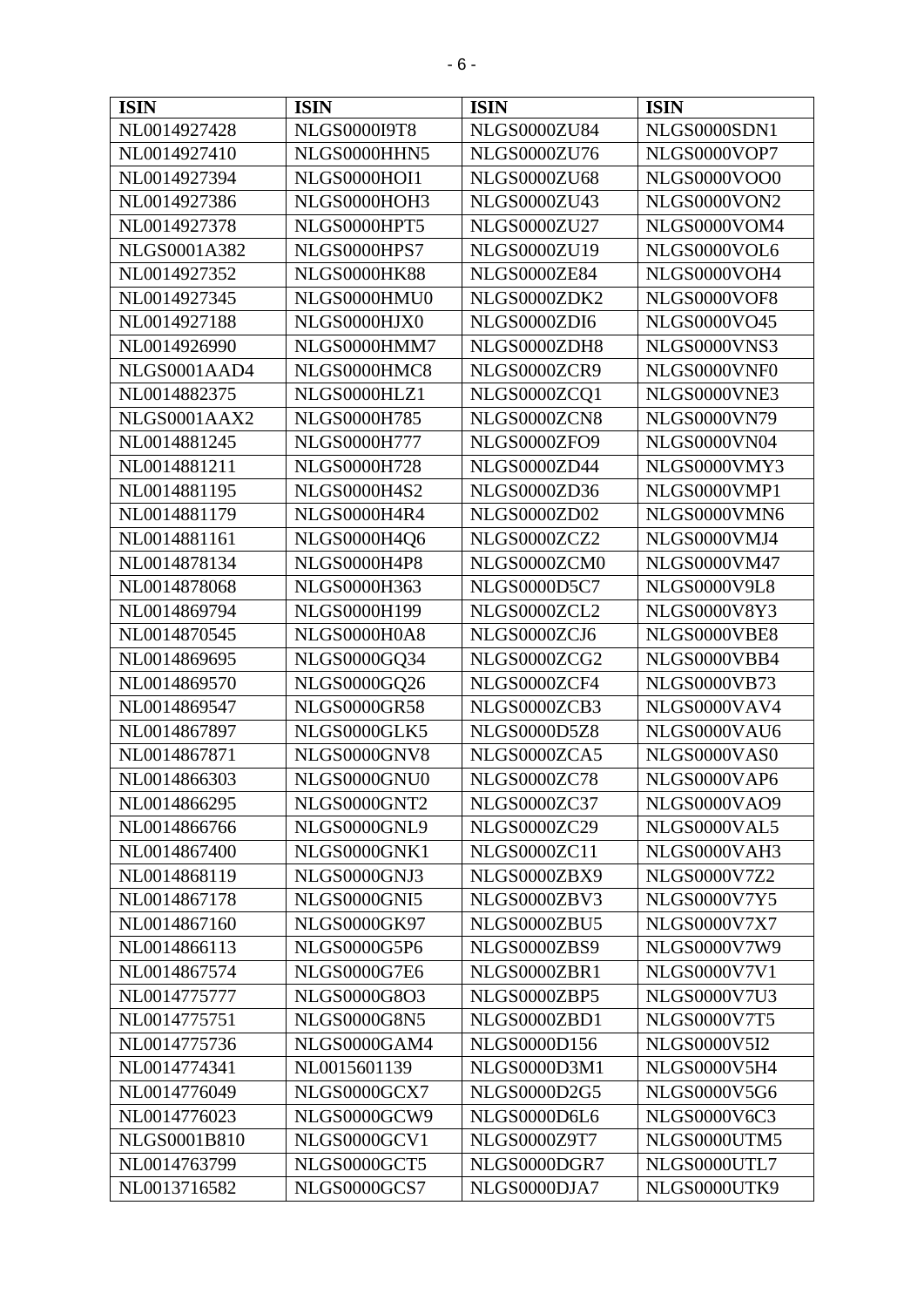| <b>ISIN</b>  | <b>ISIN</b>         | <b>ISIN</b>         | <b>ISIN</b>         |
|--------------|---------------------|---------------------|---------------------|
| NL0014927428 | <b>NLGS0000I9T8</b> | <b>NLGS0000ZU84</b> | NLGS0000SDN1        |
| NL0014927410 | NLGS0000HHN5        | <b>NLGS0000ZU76</b> | NLGS0000VOP7        |
| NL0014927394 | NLGS0000HOI1        | <b>NLGS0000ZU68</b> | NLGS0000VOO0        |
| NL0014927386 | NLGS0000HOH3        | <b>NLGS0000ZU43</b> | NLGS0000VON2        |
| NL0014927378 | NLGS0000HPT5        | <b>NLGS0000ZU27</b> | NLGS0000VOM4        |
| NLGS0001A382 | NLGS0000HPS7        | <b>NLGS0000ZU19</b> | NLGS0000VOL6        |
| NL0014927352 | NLGS0000HK88        | <b>NLGS0000ZE84</b> | NLGS0000VOH4        |
| NL0014927345 | NLGS0000HMU0        | NLGS0000ZDK2        | NLGS0000VOF8        |
| NL0014927188 | NLGS0000HJX0        | NLGS0000ZDI6        | <b>NLGS0000VO45</b> |
| NL0014926990 | NLGS0000HMM7        | NLGS0000ZDH8        | NLGS0000VNS3        |
| NLGS0001AAD4 | NLGS0000HMC8        | NLGS0000ZCR9        | NLGS0000VNF0        |
| NL0014882375 | NLGS0000HLZ1        | NLGS0000ZCQ1        | NLGS0000VNE3        |
| NLGS0001AAX2 | <b>NLGS0000H785</b> | NLGS0000ZCN8        | <b>NLGS0000VN79</b> |
| NL0014881245 | <b>NLGS0000H777</b> | NLGS0000ZFO9        | NLGS0000VN04        |
| NL0014881211 | <b>NLGS0000H728</b> | <b>NLGS0000ZD44</b> | NLGS0000VMY3        |
| NL0014881195 | <b>NLGS0000H4S2</b> | <b>NLGS0000ZD36</b> | NLGS0000VMP1        |
| NL0014881179 | NLGS0000H4R4        | <b>NLGS0000ZD02</b> | NLGS0000VMN6        |
| NL0014881161 | NLGS0000H4Q6        | NLGS0000ZCZ2        | NLGS0000VMJ4        |
| NL0014878134 | NLGS0000H4P8        | NLGS0000ZCM0        | <b>NLGS0000VM47</b> |
| NL0014878068 | NLGS0000H363        | <b>NLGS0000D5C7</b> | <b>NLGS0000V9L8</b> |
| NL0014869794 | NLGS0000H199        | NLGS0000ZCL2        | <b>NLGS0000V8Y3</b> |
| NL0014870545 | NLGS0000H0A8        | NLGS0000ZCJ6        | NLGS0000VBE8        |
| NL0014869695 | NLGS0000GQ34        | NLGS0000ZCG2        | NLGS0000VBB4        |
| NL0014869570 | NLGS0000GQ26        | NLGS0000ZCF4        | <b>NLGS0000VB73</b> |
| NL0014869547 | <b>NLGS0000GR58</b> | NLGS0000ZCB3        | NLGS0000VAV4        |
| NL0014867897 | NLGS0000GLK5        | <b>NLGS0000D5Z8</b> | NLGS0000VAU6        |
| NL0014867871 | NLGS0000GNV8        | NLGS0000ZCA5        | NLGS0000VAS0        |
| NL0014866303 | NLGS0000GNU0        | <b>NLGS0000ZC78</b> | NLGS0000VAP6        |
| NL0014866295 | NLGS0000GNT2        | <b>NLGS0000ZC37</b> | NLGS0000VAO9        |
| NL0014866766 | NLGS0000GNL9        | <b>NLGS0000ZC29</b> | NLGS0000VAL5        |
| NL0014867400 | NLGS0000GNK1        | <b>NLGS0000ZC11</b> | NLGS0000VAH3        |
| NL0014868119 | NLGS0000GNJ3        | NLGS0000ZBX9        | <b>NLGS0000V7Z2</b> |
| NL0014867178 | NLGS0000GNI5        | NLGS0000ZBV3        | <b>NLGS0000V7Y5</b> |
| NL0014867160 | NLGS0000GK97        | NLGS0000ZBU5        | <b>NLGS0000V7X7</b> |
| NL0014866113 | <b>NLGS0000G5P6</b> | NLGS0000ZBS9        | NLGS0000V7W9        |
| NL0014867574 | <b>NLGS0000G7E6</b> | NLGS0000ZBR1        | <b>NLGS0000V7V1</b> |
| NL0014775777 | NLGS0000G8O3        | NLGS0000ZBP5        | <b>NLGS0000V7U3</b> |
| NL0014775751 | <b>NLGS0000G8N5</b> | NLGS0000ZBD1        | <b>NLGS0000V7T5</b> |
| NL0014775736 | NLGS0000GAM4        | NLGS0000D156        | <b>NLGS0000V5I2</b> |
| NL0014774341 | NL0015601139        | NLGS0000D3M1        | <b>NLGS0000V5H4</b> |
| NL0014776049 | NLGS0000GCX7        | NLGS0000D2G5        | NLGS0000V5G6        |
| NL0014776023 | NLGS0000GCW9        | NLGS0000D6L6        | <b>NLGS0000V6C3</b> |
| NLGS0001B810 | NLGS0000GCV1        | NLGS0000Z9T7        | NLGS0000UTM5        |
| NL0014763799 | NLGS0000GCT5        | NLGS0000DGR7        | NLGS0000UTL7        |
| NL0013716582 | NLGS0000GCS7        | NLGS0000DJA7        | NLGS0000UTK9        |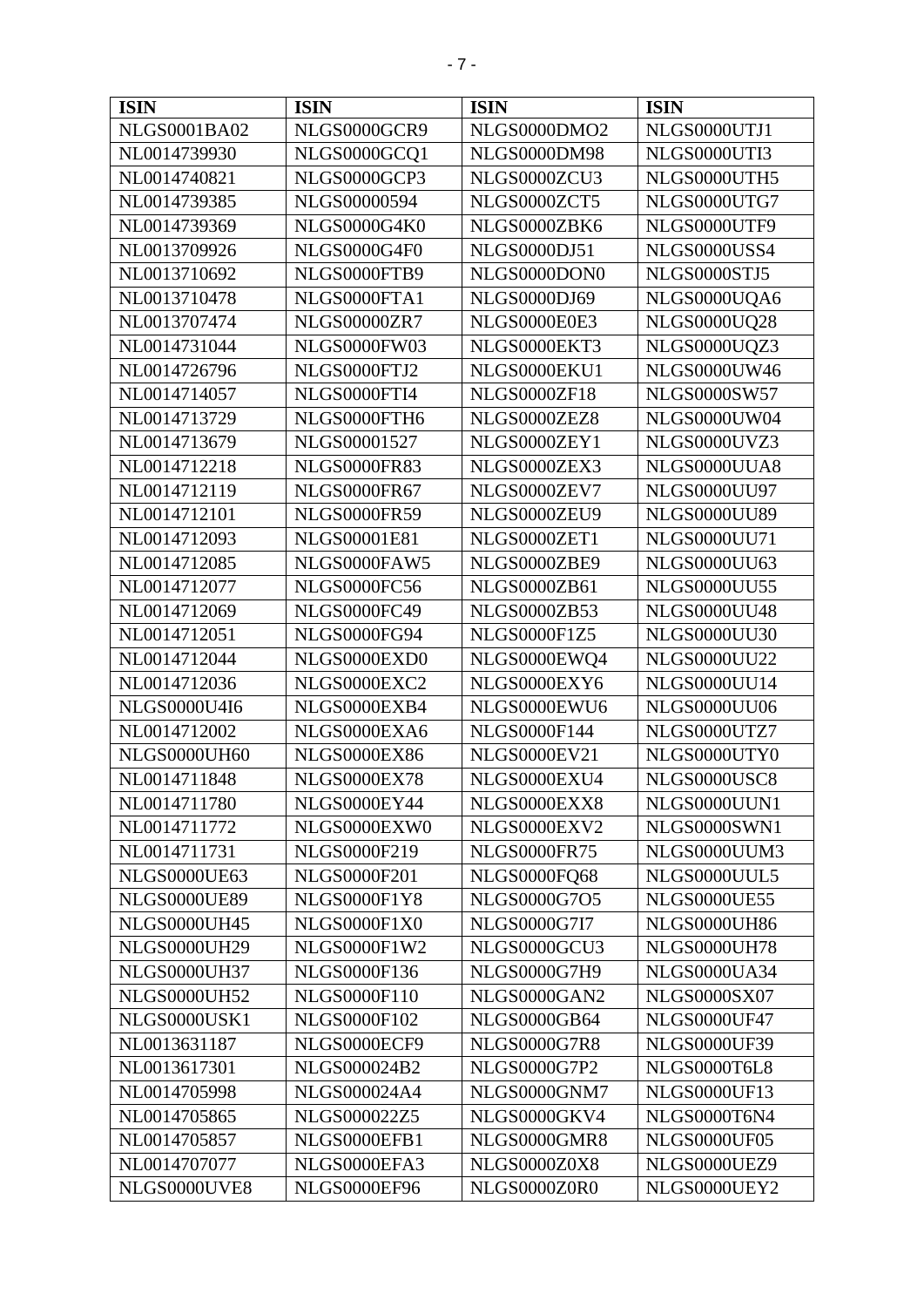| <b>ISIN</b>         | <b>ISIN</b>         | <b>ISIN</b>         | <b>ISIN</b>         |
|---------------------|---------------------|---------------------|---------------------|
| <b>NLGS0001BA02</b> | NLGS0000GCR9        | NLGS0000DMO2        | NLGS0000UTJ1        |
| NL0014739930        | NLGS0000GCQ1        | <b>NLGS0000DM98</b> | NLGS0000UTI3        |
| NL0014740821        | NLGS0000GCP3        | NLGS0000ZCU3        | NLGS0000UTH5        |
| NL0014739385        | NLGS00000594        | NLGS0000ZCT5        | NLGS0000UTG7        |
| NL0014739369        | NLGS0000G4K0        | NLGS0000ZBK6        | NLGS0000UTF9        |
| NL0013709926        | NLGS0000G4F0        | NLGS0000DJ51        | NLGS0000USS4        |
| NL0013710692        | NLGS0000FTB9        | NLGS0000DON0        | NLGS0000STJ5        |
| NL0013710478        | NLGS0000FTA1        | <b>NLGS0000DJ69</b> | NLGS0000UQA6        |
| NL0013707474        | <b>NLGS00000ZR7</b> | NLGS0000E0E3        | <b>NLGS0000UQ28</b> |
| NL0014731044        | <b>NLGS0000FW03</b> | NLGS0000EKT3        | NLGS0000UQZ3        |
| NL0014726796        | NLGS0000FTJ2        | NLGS0000EKU1        | <b>NLGS0000UW46</b> |
| NL0014714057        | NLGS0000FTI4        | <b>NLGS0000ZF18</b> | <b>NLGS0000SW57</b> |
| NL0014713729        | NLGS0000FTH6        | NLGS0000ZEZ8        | NLGS0000UW04        |
| NL0014713679        | NLGS00001527        | NLGS0000ZEY1        | NLGS0000UVZ3        |
| NL0014712218        | <b>NLGS0000FR83</b> | NLGS0000ZEX3        | NLGS0000UUA8        |
| NL0014712119        | <b>NLGS0000FR67</b> | NLGS0000ZEV7        | <b>NLGS0000UU97</b> |
| NL0014712101        | <b>NLGS0000FR59</b> | NLGS0000ZEU9        | <b>NLGS0000UU89</b> |
| NL0014712093        | <b>NLGS00001E81</b> | NLGS0000ZET1        | <b>NLGS0000UU71</b> |
| NL0014712085        | NLGS0000FAW5        | NLGS0000ZBE9        | <b>NLGS0000UU63</b> |
| NL0014712077        | <b>NLGS0000FC56</b> | NLGS0000ZB61        | <b>NLGS0000UU55</b> |
| NL0014712069        | <b>NLGS0000FC49</b> | <b>NLGS0000ZB53</b> | <b>NLGS0000UU48</b> |
| NL0014712051        | NLGS0000FG94        | <b>NLGS0000F1Z5</b> | <b>NLGS0000UU30</b> |
| NL0014712044        | NLGS0000EXD0        | NLGS0000EWQ4        | <b>NLGS0000UU22</b> |
| NL0014712036        | NLGS0000EXC2        | NLGS0000EXY6        | <b>NLGS0000UU14</b> |
| <b>NLGS0000U4I6</b> | NLGS0000EXB4        | NLGS0000EWU6        | <b>NLGS0000UU06</b> |
| NL0014712002        | NLGS0000EXA6        | <b>NLGS0000F144</b> | NLGS0000UTZ7        |
| <b>NLGS0000UH60</b> | <b>NLGS0000EX86</b> | <b>NLGS0000EV21</b> | NLGS0000UTY0        |
| NL0014711848        | <b>NLGS0000EX78</b> | NLGS0000EXU4        | NLGS0000USC8        |
| NL0014711780        | <b>NLGS0000EY44</b> | NLGS0000EXX8        | NLGS0000UUN1        |
| NL0014711772        | NLGS0000EXW0        | NLGS0000EXV2        | NLGS0000SWN1        |
| NL0014711731        | <b>NLGS0000F219</b> | <b>NLGS0000FR75</b> | NLGS0000UUM3        |
| <b>NLGS0000UE63</b> | <b>NLGS0000F201</b> | <b>NLGS0000FQ68</b> | NLGS0000UUL5        |
| <b>NLGS0000UE89</b> | NLGS0000F1Y8        | NLGS0000G7O5        | <b>NLGS0000UE55</b> |
| <b>NLGS0000UH45</b> | NLGS0000F1X0        | NLGS0000G7I7        | <b>NLGS0000UH86</b> |
| <b>NLGS0000UH29</b> | <b>NLGS0000F1W2</b> | NLGS0000GCU3        | <b>NLGS0000UH78</b> |
| <b>NLGS0000UH37</b> | <b>NLGS0000F136</b> | <b>NLGS0000G7H9</b> | <b>NLGS0000UA34</b> |
| <b>NLGS0000UH52</b> | <b>NLGS0000F110</b> | NLGS0000GAN2        | <b>NLGS0000SX07</b> |
| NLGS0000USK1        | <b>NLGS0000F102</b> | <b>NLGS0000GB64</b> | <b>NLGS0000UF47</b> |
| NL0013631187        | NLGS0000ECF9        | <b>NLGS0000G7R8</b> | <b>NLGS0000UF39</b> |
| NL0013617301        | NLGS000024B2        | <b>NLGS0000G7P2</b> | NLGS0000T6L8        |
| NL0014705998        | NLGS000024A4        | NLGS0000GNM7        | <b>NLGS0000UF13</b> |
| NL0014705865        | <b>NLGS000022Z5</b> | NLGS0000GKV4        | NLGS0000T6N4        |
| NL0014705857        | NLGS0000EFB1        | NLGS0000GMR8        | NLGS0000UF05        |
| NL0014707077        | NLGS0000EFA3        | <b>NLGS0000Z0X8</b> | NLGS0000UEZ9        |
| NLGS0000UVE8        | <b>NLGS0000EF96</b> | NLGS0000Z0R0        | NLGS0000UEY2        |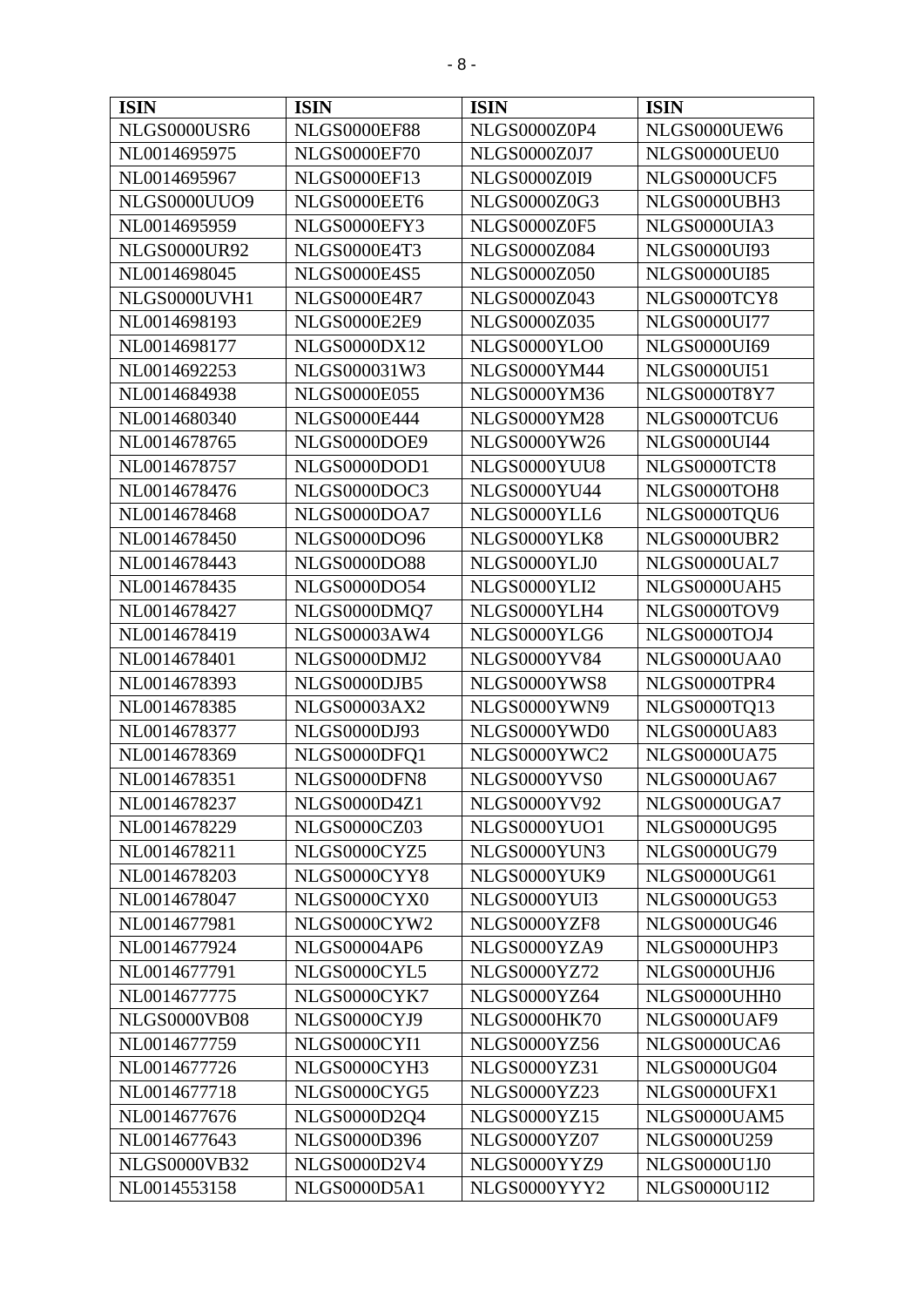| <b>ISIN</b>         | <b>ISIN</b>         | <b>ISIN</b>         | <b>ISIN</b>         |
|---------------------|---------------------|---------------------|---------------------|
| NLGS0000USR6        | <b>NLGS0000EF88</b> | NLGS0000Z0P4        | NLGS0000UEW6        |
| NL0014695975        | <b>NLGS0000EF70</b> | <b>NLGS0000Z0J7</b> | NLGS0000UEU0        |
| NL0014695967        | <b>NLGS0000EF13</b> | NLGS0000Z0I9        | NLGS0000UCF5        |
| NLGS0000UUO9        | NLGS0000EET6        | NLGS0000Z0G3        | NLGS0000UBH3        |
| NL0014695959        | NLGS0000EFY3        | <b>NLGS0000Z0F5</b> | NLGS0000UIA3        |
| <b>NLGS0000UR92</b> | NLGS0000E4T3        | NLGS0000Z084        | <b>NLGS0000UI93</b> |
| NL0014698045        | <b>NLGS0000E4S5</b> | <b>NLGS0000Z050</b> | <b>NLGS0000UI85</b> |
| NLGS0000UVH1        | NLGS0000E4R7        | NLGS0000Z043        | NLGS0000TCY8        |
| NL0014698193        | <b>NLGS0000E2E9</b> | <b>NLGS0000Z035</b> | <b>NLGS0000UI77</b> |
| NL0014698177        | <b>NLGS0000DX12</b> | NLGS0000YLO0        | <b>NLGS0000UI69</b> |
| NL0014692253        | NLGS000031W3        | NLGS0000YM44        | <b>NLGS0000UI51</b> |
| NL0014684938        | <b>NLGS0000E055</b> | NLGS0000YM36        | NLGS0000T8Y7        |
| NL0014680340        | <b>NLGS0000E444</b> | <b>NLGS0000YM28</b> | NLGS0000TCU6        |
| NL0014678765        | NLGS0000DOE9        | <b>NLGS0000YW26</b> | <b>NLGS0000UI44</b> |
| NL0014678757        | NLGS0000DOD1        | NLGS0000YUU8        | NLGS0000TCT8        |
| NL0014678476        | NLGS0000DOC3        | NLGS0000YU44        | NLGS0000TOH8        |
| NL0014678468        | NLGS0000DOA7        | NLGS0000YLL6        | NLGS0000TQU6        |
| NL0014678450        | NLGS0000DO96        | NLGS0000YLK8        | NLGS0000UBR2        |
| NL0014678443        | <b>NLGS0000DO88</b> | NLGS0000YLJ0        | NLGS0000UAL7        |
| NL0014678435        | <b>NLGS0000DO54</b> | NLGS0000YLI2        | NLGS0000UAH5        |
| NL0014678427        | NLGS0000DMQ7        | NLGS0000YLH4        | NLGS0000TOV9        |
| NL0014678419        | NLGS00003AW4        | NLGS0000YLG6        | NLGS0000TOJ4        |
| NL0014678401        | NLGS0000DMJ2        | NLGS0000YV84        | NLGS0000UAA0        |
| NL0014678393        | NLGS0000DJB5        | NLGS0000YWS8        | NLGS0000TPR4        |
| NL0014678385        | <b>NLGS00003AX2</b> | NLGS0000YWN9        | NLGS0000TQ13        |
| NL0014678377        | NLGS0000DJ93        | NLGS0000YWD0        | <b>NLGS0000UA83</b> |
| NL0014678369        | NLGS0000DFQ1        | NLGS0000YWC2        | <b>NLGS0000UA75</b> |
| NL0014678351        | NLGS0000DFN8        | NLGS0000YVS0        | NLGS0000UA67        |
| NL0014678237        | <b>NLGS0000D4Z1</b> | NLGS0000YV92        | NLGS0000UGA7        |
| NL0014678229        | NLGS0000CZ03        | NLGS0000YUO1        | <b>NLGS0000UG95</b> |
| NL0014678211        | NLGS0000CYZ5        | NLGS0000YUN3        | <b>NLGS0000UG79</b> |
| NL0014678203        | NLGS0000CYY8        | NLGS0000YUK9        | <b>NLGS0000UG61</b> |
| NL0014678047        | NLGS0000CYX0        | NLGS0000YUI3        | <b>NLGS0000UG53</b> |
| NL0014677981        | NLGS0000CYW2        | NLGS0000YZF8        | <b>NLGS0000UG46</b> |
| NL0014677924        | <b>NLGS00004AP6</b> | NLGS0000YZA9        | NLGS0000UHP3        |
| NL0014677791        | NLGS0000CYL5        | <b>NLGS0000YZ72</b> | NLGS0000UHJ6        |
| NL0014677775        | NLGS0000CYK7        | NLGS0000YZ64        | NLGS0000UHH0        |
| NLGS0000VB08        | NLGS0000CYJ9        | <b>NLGS0000HK70</b> | NLGS0000UAF9        |
| NL0014677759        | NLGS0000CYI1        | <b>NLGS0000YZ56</b> | NLGS0000UCA6        |
| NL0014677726        | NLGS0000CYH3        | <b>NLGS0000YZ31</b> | NLGS0000UG04        |
| NL0014677718        | NLGS0000CYG5        | NLGS0000YZ23        | NLGS0000UFX1        |
| NL0014677676        | NLGS0000D2Q4        | <b>NLGS0000YZ15</b> | NLGS0000UAM5        |
| NL0014677643        | NLGS0000D396        | NLGS0000YZ07        | <b>NLGS0000U259</b> |
| <b>NLGS0000VB32</b> | NLGS0000D2V4        | NLGS0000YYZ9        | NLGS0000U1J0        |
| NL0014553158        | NLGS0000D5A1        | NLGS0000YYY2        | <b>NLGS0000U1I2</b> |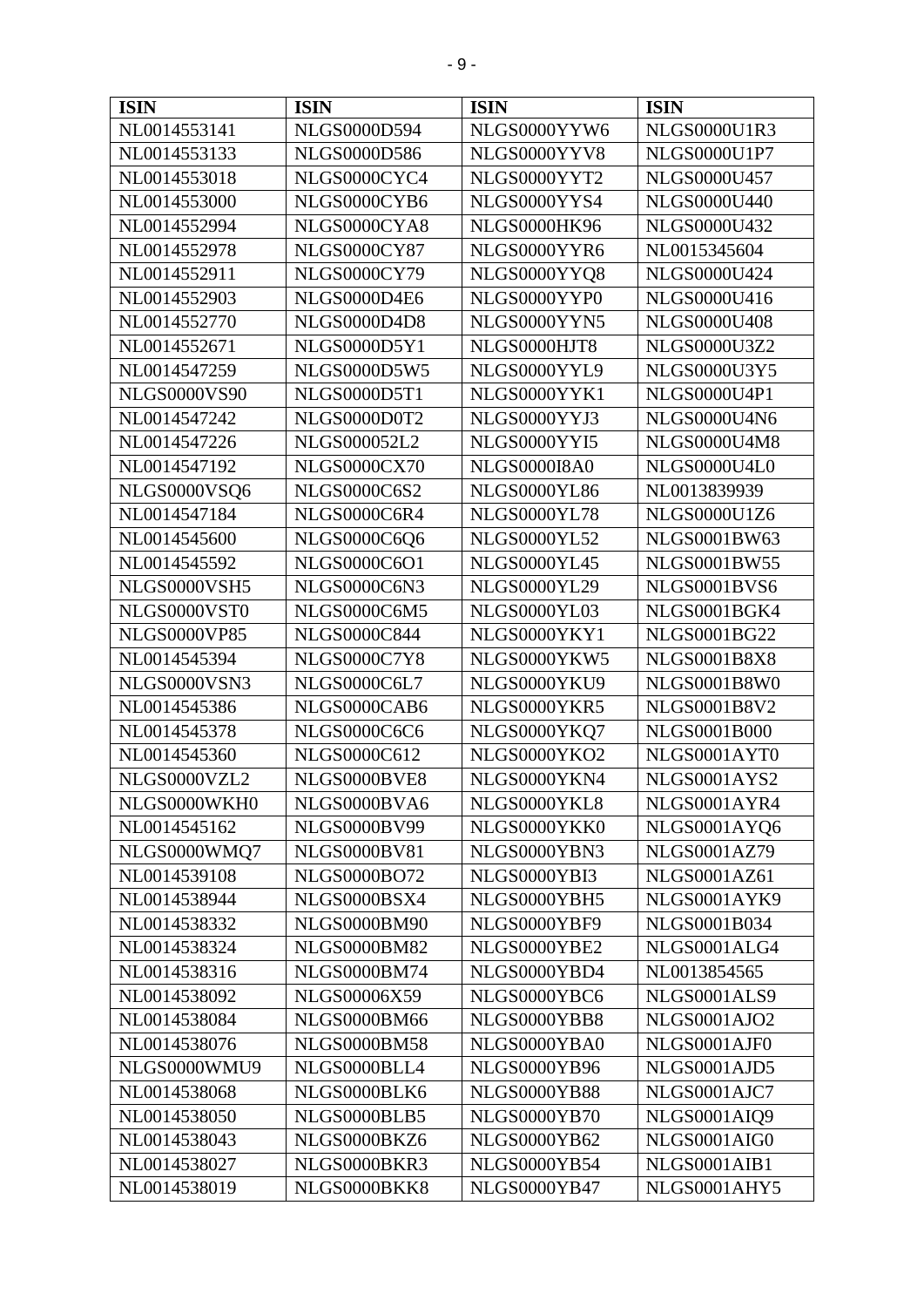| <b>ISIN</b>         | <b>ISIN</b>         | <b>ISIN</b>         | <b>ISIN</b>         |
|---------------------|---------------------|---------------------|---------------------|
| NL0014553141        | NLGS0000D594        | NLGS0000YYW6        | <b>NLGS0000U1R3</b> |
| NL0014553133        | <b>NLGS0000D586</b> | NLGS0000YYV8        | <b>NLGS0000U1P7</b> |
| NL0014553018        | NLGS0000CYC4        | NLGS0000YYT2        | NLGS0000U457        |
| NL0014553000        | NLGS0000CYB6        | NLGS0000YYS4        | <b>NLGS0000U440</b> |
| NL0014552994        | NLGS0000CYA8        | NLGS0000HK96        | <b>NLGS0000U432</b> |
| NL0014552978        | NLGS0000CY87        | NLGS0000YYR6        | NL0015345604        |
| NL0014552911        | <b>NLGS0000CY79</b> | NLGS0000YYQ8        | <b>NLGS0000U424</b> |
| NL0014552903        | NLGS0000D4E6        | NLGS0000YYP0        | NLGS0000U416        |
| NL0014552770        | <b>NLGS0000D4D8</b> | NLGS0000YYN5        | <b>NLGS0000U408</b> |
| NL0014552671        | NLGS0000D5Y1        | NLGS0000HJT8        | <b>NLGS0000U3Z2</b> |
| NL0014547259        | NLGS0000D5W5        | NLGS0000YYL9        | NLGS0000U3Y5        |
| <b>NLGS0000VS90</b> | <b>NLGS0000D5T1</b> | NLGS0000YYK1        | <b>NLGS0000U4P1</b> |
| NL0014547242        | NLGS0000D0T2        | NLGS0000YYJ3        | NLGS0000U4N6        |
| NL0014547226        | <b>NLGS000052L2</b> | NLGS0000YYI5        | <b>NLGS0000U4M8</b> |
| NL0014547192        | <b>NLGS0000CX70</b> | <b>NLGS0000I8A0</b> | NLGS0000U4L0        |
| NLGS0000VSQ6        | <b>NLGS0000C6S2</b> | NLGS0000YL86        | NL0013839939        |
| NL0014547184        | NLGS0000C6R4        | NLGS0000YL78        | <b>NLGS0000U1Z6</b> |
| NL0014545600        | NLGS0000C6Q6        | <b>NLGS0000YL52</b> | NLGS0001BW63        |
| NL0014545592        | <b>NLGS0000C6O1</b> | NLGS0000YL45        | <b>NLGS0001BW55</b> |
| NLGS0000VSH5        | NLGS0000C6N3        | <b>NLGS0000YL29</b> | NLGS0001BVS6        |
| NLGS0000VST0        | NLGS0000C6M5        | NLGS0000YL03        | NLGS0001BGK4        |
| <b>NLGS0000VP85</b> | <b>NLGS0000C844</b> | NLGS0000YKY1        | <b>NLGS0001BG22</b> |
| NL0014545394        | <b>NLGS0000C7Y8</b> | NLGS0000YKW5        | <b>NLGS0001B8X8</b> |
| NLGS0000VSN3        | NLGS0000C6L7        | NLGS0000YKU9        | <b>NLGS0001B8W0</b> |
| NL0014545386        | NLGS0000CAB6        | NLGS0000YKR5        | <b>NLGS0001B8V2</b> |
| NL0014545378        | NLGS0000C6C6        | NLGS0000YKQ7        | <b>NLGS0001B000</b> |
| NL0014545360        | <b>NLGS0000C612</b> | NLGS0000YKO2        | NLGS0001AYT0        |
| NLGS0000VZL2        | NLGS0000BVE8        | NLGS0000YKN4        | NLGS0001AYS2        |
| NLGS0000WKH0        | NLGS0000BVA6        | NLGS0000YKL8        | NLGS0001AYR4        |
| NL0014545162        | <b>NLGS0000BV99</b> | NLGS0000YKK0        | NLGS0001AYQ6        |
| NLGS0000WMQ7        | <b>NLGS0000BV81</b> | NLGS0000YBN3        | <b>NLGS0001AZ79</b> |
| NL0014539108        | <b>NLGS0000BO72</b> | NLGS0000YBI3        | <b>NLGS0001AZ61</b> |
| NL0014538944        | NLGS0000BSX4        | NLGS0000YBH5        | NLGS0001AYK9        |
| NL0014538332        | NLGS0000BM90        | NLGS0000YBF9        | NLGS0001B034        |
| NL0014538324        | <b>NLGS0000BM82</b> | NLGS0000YBE2        | NLGS0001ALG4        |
| NL0014538316        | <b>NLGS0000BM74</b> | NLGS0000YBD4        | NL0013854565        |
| NL0014538092        | NLGS00006X59        | NLGS0000YBC6        | NLGS0001ALS9        |
| NL0014538084        | <b>NLGS0000BM66</b> | NLGS0000YBB8        | <b>NLGS0001AJO2</b> |
| NL0014538076        | <b>NLGS0000BM58</b> | NLGS0000YBA0        | NLGS0001AJF0        |
| NLGS0000WMU9        | NLGS0000BLL4        | NLGS0000YB96        | NLGS0001AJD5        |
| NL0014538068        | NLGS0000BLK6        | NLGS0000YB88        | NLGS0001AJC7        |
| NL0014538050        | NLGS0000BLB5        | NLGS0000YB70        | NLGS0001AIQ9        |
| NL0014538043        | NLGS0000BKZ6        | <b>NLGS0000YB62</b> | NLGS0001AIG0        |
| NL0014538027        | NLGS0000BKR3        | NLGS0000YB54        | NLGS0001AIB1        |
| NL0014538019        | NLGS0000BKK8        | <b>NLGS0000YB47</b> | NLGS0001AHY5        |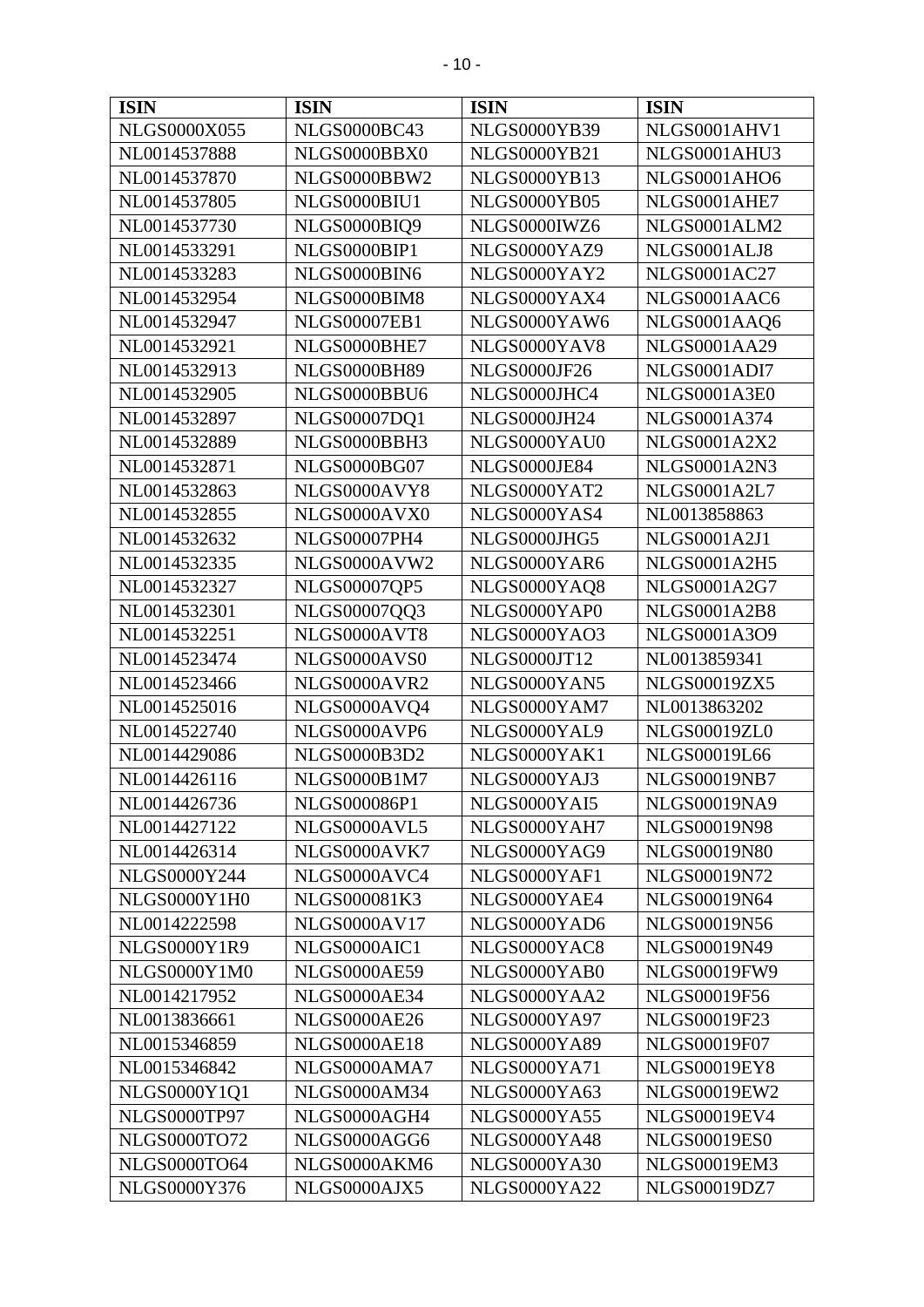| <b>ISIN</b>         | <b>ISIN</b>         | <b>ISIN</b>         | <b>ISIN</b>         |
|---------------------|---------------------|---------------------|---------------------|
| NLGS0000X055        | NLGS0000BC43        | NLGS0000YB39        | NLGS0001AHV1        |
| NL0014537888        | NLGS0000BBX0        | NLGS0000YB21        | NLGS0001AHU3        |
| NL0014537870        | NLGS0000BBW2        | NLGS0000YB13        | NLGS0001AHO6        |
| NL0014537805        | NLGS0000BIU1        | NLGS0000YB05        | NLGS0001AHE7        |
| NL0014537730        | NLGS0000BIQ9        | NLGS0000IWZ6        | NLGS0001ALM2        |
| NL0014533291        | NLGS0000BIP1        | NLGS0000YAZ9        | NLGS0001ALJ8        |
| NL0014533283        | NLGS0000BIN6        | NLGS0000YAY2        | <b>NLGS0001AC27</b> |
| NL0014532954        | NLGS0000BIM8        | NLGS0000YAX4        | NLGS0001AAC6        |
| NL0014532947        | <b>NLGS00007EB1</b> | NLGS0000YAW6        | NLGS0001AAQ6        |
| NL0014532921        | NLGS0000BHE7        | NLGS0000YAV8        | <b>NLGS0001AA29</b> |
| NL0014532913        | <b>NLGS0000BH89</b> | <b>NLGS0000JF26</b> | NLGS0001ADI7        |
| NL0014532905        | NLGS0000BBU6        | NLGS0000JHC4        | <b>NLGS0001A3E0</b> |
| NL0014532897        | NLGS00007DQ1        | <b>NLGS0000JH24</b> | NLGS0001A374        |
| NL0014532889        | NLGS0000BBH3        | NLGS0000YAU0        | <b>NLGS0001A2X2</b> |
| NL0014532871        | <b>NLGS0000BG07</b> | <b>NLGS0000JE84</b> | <b>NLGS0001A2N3</b> |
| NL0014532863        | NLGS0000AVY8        | NLGS0000YAT2        | <b>NLGS0001A2L7</b> |
| NL0014532855        | NLGS0000AVX0        | NLGS0000YAS4        | NL0013858863        |
| NL0014532632        | <b>NLGS00007PH4</b> | NLGS0000JHG5        | <b>NLGS0001A2J1</b> |
| NL0014532335        | NLGS0000AVW2        | NLGS0000YAR6        | <b>NLGS0001A2H5</b> |
| NL0014532327        | NLGS00007QP5        | NLGS0000YAQ8        | NLGS0001A2G7        |
| NL0014532301        | NLGS00007QQ3        | NLGS0000YAP0        | <b>NLGS0001A2B8</b> |
| NL0014532251        | NLGS0000AVT8        | NLGS0000YAO3        | NLGS0001A3O9        |
| NL0014523474        | NLGS0000AVS0        | <b>NLGS0000JT12</b> | NL0013859341        |
| NL0014523466        | NLGS0000AVR2        | NLGS0000YAN5        | <b>NLGS00019ZX5</b> |
| NL0014525016        | NLGS0000AVQ4        | NLGS0000YAM7        | NL0013863202        |
| NL0014522740        | NLGS0000AVP6        | NLGS0000YAL9        | <b>NLGS00019ZL0</b> |
| NL0014429086        | <b>NLGS0000B3D2</b> | NLGS0000YAK1        | <b>NLGS00019L66</b> |
| NL0014426116        | NLGS0000B1M7        | NLGS0000YAJ3        | <b>NLGS00019NB7</b> |
| NL0014426736        | <b>NLGS000086P1</b> | NLGS0000YAI5        | <b>NLGS00019NA9</b> |
| NL0014427122        | NLGS0000AVL5        | NLGS0000YAH7        | NLGS00019N98        |
| NL0014426314        | NLGS0000AVK7        | NLGS0000YAG9        | NLGS00019N80        |
| <b>NLGS0000Y244</b> | NLGS0000AVC4        | NLGS0000YAF1        | NLGS00019N72        |
| <b>NLGS0000Y1H0</b> | NLGS000081K3        | NLGS0000YAE4        | NLGS00019N64        |
| NL0014222598        | <b>NLGS0000AV17</b> | NLGS0000YAD6        | NLGS00019N56        |
| <b>NLGS0000Y1R9</b> | NLGS0000AIC1        | NLGS0000YAC8        | NLGS00019N49        |
| NLGS0000Y1M0        | <b>NLGS0000AE59</b> | NLGS0000YAB0        | <b>NLGS00019FW9</b> |
| NL0014217952        | <b>NLGS0000AE34</b> | NLGS0000YAA2        | NLGS00019F56        |
| NL0013836661        | <b>NLGS0000AE26</b> | <b>NLGS0000YA97</b> | NLGS00019F23        |
| NL0015346859        | <b>NLGS0000AE18</b> | <b>NLGS0000YA89</b> | NLGS00019F07        |
| NL0015346842        | NLGS0000AMA7        | <b>NLGS0000YA71</b> | <b>NLGS00019EY8</b> |
| NLGS0000Y1Q1        | <b>NLGS0000AM34</b> | NLGS0000YA63        | <b>NLGS00019EW2</b> |
| <b>NLGS0000TP97</b> | NLGS0000AGH4        | <b>NLGS0000YA55</b> | <b>NLGS00019EV4</b> |
| <b>NLGS0000TO72</b> | NLGS0000AGG6        | NLGS0000YA48        | <b>NLGS00019ES0</b> |
| <b>NLGS0000TO64</b> | NLGS0000AKM6        | NLGS0000YA30        | <b>NLGS00019EM3</b> |
| NLGS0000Y376        | NLGS0000AJX5        | <b>NLGS0000YA22</b> | NLGS00019DZ7        |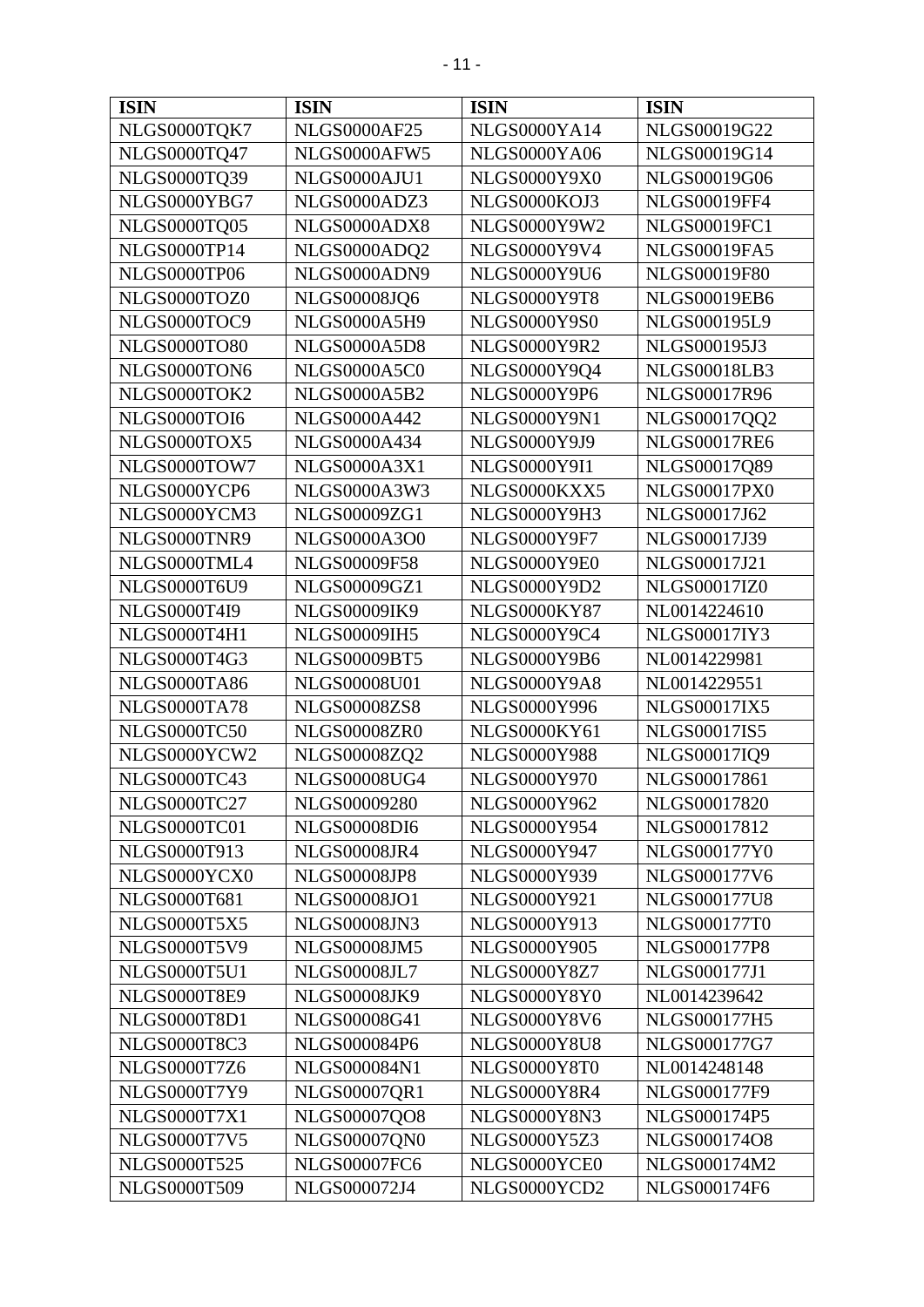| <b>ISIN</b>         | <b>ISIN</b>         | <b>ISIN</b>         | <b>ISIN</b>         |
|---------------------|---------------------|---------------------|---------------------|
| NLGS0000TQK7        | <b>NLGS0000AF25</b> | NLGS0000YA14        | NLGS00019G22        |
| NLGS0000TQ47        | NLGS0000AFW5        | NLGS0000YA06        | NLGS00019G14        |
| NLGS0000TQ39        | NLGS0000AJU1        | NLGS0000Y9X0        | NLGS00019G06        |
| NLGS0000YBG7        | NLGS0000ADZ3        | NLGS0000KOJ3        | <b>NLGS00019FF4</b> |
| NLGS0000TQ05        | NLGS0000ADX8        | <b>NLGS0000Y9W2</b> | <b>NLGS00019FC1</b> |
| NLGS0000TP14        | NLGS0000ADQ2        | NLGS0000Y9V4        | <b>NLGS00019FA5</b> |
| NLGS0000TP06        | NLGS0000ADN9        | NLGS0000Y9U6        | <b>NLGS00019F80</b> |
| NLGS0000TOZ0        | NLGS00008JQ6        | <b>NLGS0000Y9T8</b> | <b>NLGS00019EB6</b> |
| NLGS0000TOC9        | <b>NLGS0000A5H9</b> | <b>NLGS0000Y9S0</b> | NLGS000195L9        |
| <b>NLGS0000TO80</b> | <b>NLGS0000A5D8</b> | <b>NLGS0000Y9R2</b> | NLGS000195J3        |
| NLGS0000TON6        | NLGS0000A5C0        | NLGS0000Y9Q4        | <b>NLGS00018LB3</b> |
| NLGS0000TOK2        | <b>NLGS0000A5B2</b> | NLGS0000Y9P6        | NLGS00017R96        |
| NLGS0000TOI6        | <b>NLGS0000A442</b> | NLGS0000Y9N1        | NLGS00017QQ2        |
| NLGS0000TOX5        | <b>NLGS0000A434</b> | NLGS0000Y9J9        | <b>NLGS00017RE6</b> |
| NLGS0000TOW7        | NLGS0000A3X1        | NLGS0000Y9I1        | NLGS00017Q89        |
| NLGS0000YCP6        | NLGS0000A3W3        | NLGS0000KXX5        | <b>NLGS00017PX0</b> |
| NLGS0000YCM3        | NLGS00009ZG1        | NLGS0000Y9H3        | NLGS00017J62        |
| NLGS0000TNR9        | NLGS0000A3O0        | <b>NLGS0000Y9F7</b> | NLGS00017J39        |
| NLGS0000TML4        | <b>NLGS00009F58</b> | NLGS0000Y9E0        | NLGS00017J21        |
| NLGS0000T6U9        | NLGS00009GZ1        | NLGS0000Y9D2        | NLGS00017IZ0        |
| NLGS0000T4I9        | NLGS00009IK9        | NLGS0000KY87        | NL0014224610        |
| NLGS0000T4H1        | <b>NLGS00009IH5</b> | NLGS0000Y9C4        | <b>NLGS00017IY3</b> |
| NLGS0000T4G3        | <b>NLGS00009BT5</b> | NLGS0000Y9B6        | NL0014229981        |
| NLGS0000TA86        | <b>NLGS00008U01</b> | NLGS0000Y9A8        | NL0014229551        |
| NLGS0000TA78        | <b>NLGS00008ZS8</b> | NLGS0000Y996        | <b>NLGS00017IX5</b> |
| <b>NLGS0000TC50</b> | <b>NLGS00008ZR0</b> | NLGS0000KY61        | <b>NLGS00017IS5</b> |
| NLGS0000YCW2        | NLGS00008ZQ2        | <b>NLGS0000Y988</b> | NLGS00017IQ9        |
| NLGS0000TC43        | <b>NLGS00008UG4</b> | <b>NLGS0000Y970</b> | NLGS00017861        |
| NLGS0000TC27        | NLGS00009280        | NLGS0000Y962        | NLGS00017820        |
| NLGS0000TC01        | <b>NLGS00008DI6</b> | NLGS0000Y954        | NLGS00017812        |
| NLGS0000T913        | <b>NLGS00008JR4</b> | NLGS0000Y947        | NLGS000177Y0        |
| NLGS0000YCX0        | <b>NLGS00008JP8</b> | NLGS0000Y939        | NLGS000177V6        |
| NLGS0000T681        | NLGS00008JO1        | NLGS0000Y921        | <b>NLGS000177U8</b> |
| <b>NLGS0000T5X5</b> | <b>NLGS00008JN3</b> | NLGS0000Y913        | NLGS000177T0        |
| NLGS0000T5V9        | NLGS00008JM5        | NLGS0000Y905        | <b>NLGS000177P8</b> |
| <b>NLGS0000T5U1</b> | <b>NLGS00008JL7</b> | <b>NLGS0000Y8Z7</b> | NLGS000177J1        |
| <b>NLGS0000T8E9</b> | <b>NLGS00008JK9</b> | NLGS0000Y8Y0        | NL0014239642        |
| NLGS0000T8D1        | NLGS00008G41        | <b>NLGS0000Y8V6</b> | NLGS000177H5        |
| <b>NLGS0000T8C3</b> | <b>NLGS000084P6</b> | <b>NLGS0000Y8U8</b> | NLGS000177G7        |
| NLGS0000T7Z6        | NLGS000084N1        | NLGS0000Y8T0        | NL0014248148        |
| NLGS0000T7Y9        | <b>NLGS00007QR1</b> | NLGS0000Y8R4        | NLGS000177F9        |
| <b>NLGS0000T7X1</b> | <b>NLGS00007QO8</b> | <b>NLGS0000Y8N3</b> | NLGS000174P5        |
| <b>NLGS0000T7V5</b> | <b>NLGS00007QN0</b> | <b>NLGS0000Y5Z3</b> | NLGS000174O8        |
| <b>NLGS0000T525</b> | <b>NLGS00007FC6</b> | NLGS0000YCE0        | NLGS000174M2        |
| NLGS0000T509        | NLGS000072J4        | NLGS0000YCD2        | NLGS000174F6        |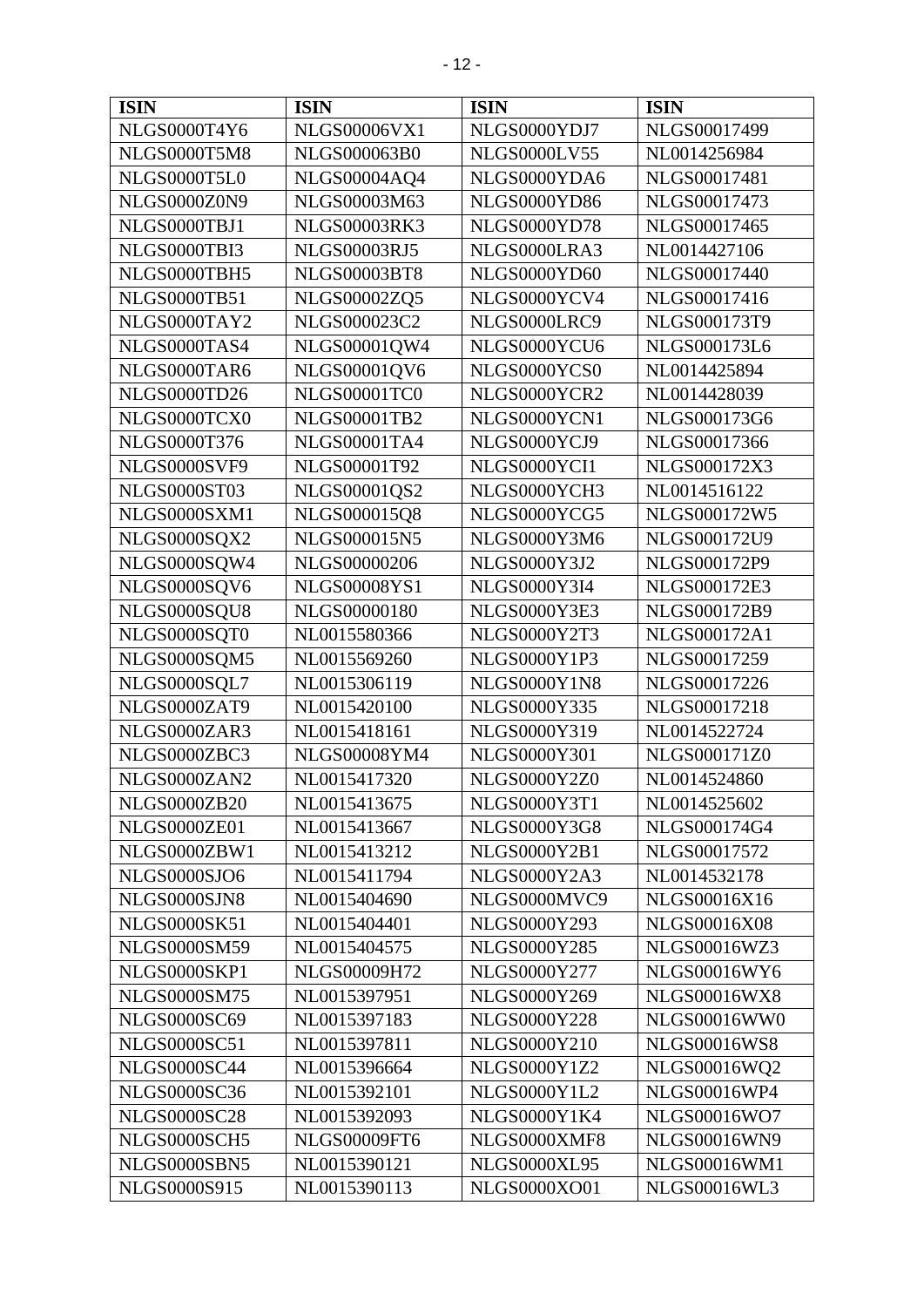| <b>ISIN</b>         | <b>ISIN</b>         | <b>ISIN</b>         | <b>ISIN</b>         |
|---------------------|---------------------|---------------------|---------------------|
| NLGS0000T4Y6        | <b>NLGS00006VX1</b> | NLGS0000YDJ7        | NLGS00017499        |
| <b>NLGS0000T5M8</b> | NLGS000063B0        | <b>NLGS0000LV55</b> | NL0014256984        |
| NLGS0000T5L0        | NLGS00004AQ4        | NLGS0000YDA6        | NLGS00017481        |
| NLGS0000Z0N9        | NLGS00003M63        | NLGS0000YD86        | NLGS00017473        |
| NLGS0000TBJ1        | <b>NLGS00003RK3</b> | <b>NLGS0000YD78</b> | NLGS00017465        |
| NLGS0000TBI3        | NLGS00003RJ5        | NLGS0000LRA3        | NL0014427106        |
| NLGS0000TBH5        | <b>NLGS00003BT8</b> | NLGS0000YD60        | NLGS00017440        |
| <b>NLGS0000TB51</b> | NLGS00002ZQ5        | NLGS0000YCV4        | NLGS00017416        |
| NLGS0000TAY2        | NLGS000023C2        | NLGS0000LRC9        | NLGS000173T9        |
| NLGS0000TAS4        | NLGS00001QW4        | NLGS0000YCU6        | NLGS000173L6        |
| NLGS0000TAR6        | NLGS00001QV6        | NLGS0000YCS0        | NL0014425894        |
| <b>NLGS0000TD26</b> | NLGS00001TC0        | NLGS0000YCR2        | NL0014428039        |
| NLGS0000TCX0        | <b>NLGS00001TB2</b> | NLGS0000YCN1        | NLGS000173G6        |
| NLGS0000T376        | NLGS00001TA4        | NLGS0000YCJ9        | NLGS00017366        |
| NLGS0000SVF9        | NLGS00001T92        | NLGS0000YCI1        | NLGS000172X3        |
| <b>NLGS0000ST03</b> | NLGS00001QS2        | NLGS0000YCH3        | NL0014516122        |
| NLGS0000SXM1        | NLGS000015Q8        | NLGS0000YCG5        | NLGS000172W5        |
| NLGS0000SQX2        | NLGS000015N5        | NLGS0000Y3M6        | NLGS000172U9        |
| NLGS0000SQW4        | NLGS00000206        | <b>NLGS0000Y3J2</b> | NLGS000172P9        |
| NLGS0000SQV6        | <b>NLGS00008YS1</b> | NLGS0000Y3I4        | <b>NLGS000172E3</b> |
| NLGS0000SQU8        | NLGS00000180        | NLGS0000Y3E3        | NLGS000172B9        |
| NLGS0000SQT0        | NL0015580366        | <b>NLGS0000Y2T3</b> | NLGS000172A1        |
| NLGS0000SQM5        | NL0015569260        | <b>NLGS0000Y1P3</b> | NLGS00017259        |
| NLGS0000SQL7        | NL0015306119        | <b>NLGS0000Y1N8</b> | NLGS00017226        |
| NLGS0000ZAT9        | NL0015420100        | NLGS0000Y335        | NLGS00017218        |
| NLGS0000ZAR3        | NL0015418161        | NLGS0000Y319        | NL0014522724        |
| NLGS0000ZBC3        | <b>NLGS00008YM4</b> | <b>NLGS0000Y301</b> | NLGS000171Z0        |
| NLGS0000ZAN2        | NL0015417320        | <b>NLGS0000Y2Z0</b> | NL0014524860        |
| <b>NLGS0000ZB20</b> | NL0015413675        | <b>NLGS0000Y3T1</b> | NL0014525602        |
| <b>NLGS0000ZE01</b> | NL0015413667        | <b>NLGS0000Y3G8</b> | NLGS000174G4        |
| NLGS0000ZBW1        | NL0015413212        | <b>NLGS0000Y2B1</b> | NLGS00017572        |
| <b>NLGS0000SJO6</b> | NL0015411794        | <b>NLGS0000Y2A3</b> | NL0014532178        |
| NLGS0000SJN8        | NL0015404690        | NLGS0000MVC9        | NLGS00016X16        |
| <b>NLGS0000SK51</b> | NL0015404401        | NLGS0000Y293        | NLGS00016X08        |
| <b>NLGS0000SM59</b> | NL0015404575        | <b>NLGS0000Y285</b> | NLGS00016WZ3        |
| NLGS0000SKP1        | <b>NLGS00009H72</b> | NLGS0000Y277        | <b>NLGS00016WY6</b> |
| <b>NLGS0000SM75</b> | NL0015397951        | NLGS0000Y269        | <b>NLGS00016WX8</b> |
| <b>NLGS0000SC69</b> | NL0015397183        | <b>NLGS0000Y228</b> | <b>NLGS00016WW0</b> |
| <b>NLGS0000SC51</b> | NL0015397811        | <b>NLGS0000Y210</b> | <b>NLGS00016WS8</b> |
| <b>NLGS0000SC44</b> | NL0015396664        | <b>NLGS0000Y1Z2</b> | NLGS00016WQ2        |
| <b>NLGS0000SC36</b> | NL0015392101        | NLGS0000Y1L2        | <b>NLGS00016WP4</b> |
| <b>NLGS0000SC28</b> | NL0015392093        | NLGS0000Y1K4        | NLGS00016WO7        |
| NLGS0000SCH5        | <b>NLGS00009FT6</b> | NLGS0000XMF8        | <b>NLGS00016WN9</b> |
| NLGS0000SBN5        | NL0015390121        | <b>NLGS0000XL95</b> | NLGS00016WM1        |
| NLGS0000S915        | NL0015390113        | NLGS0000XO01        | NLGS00016WL3        |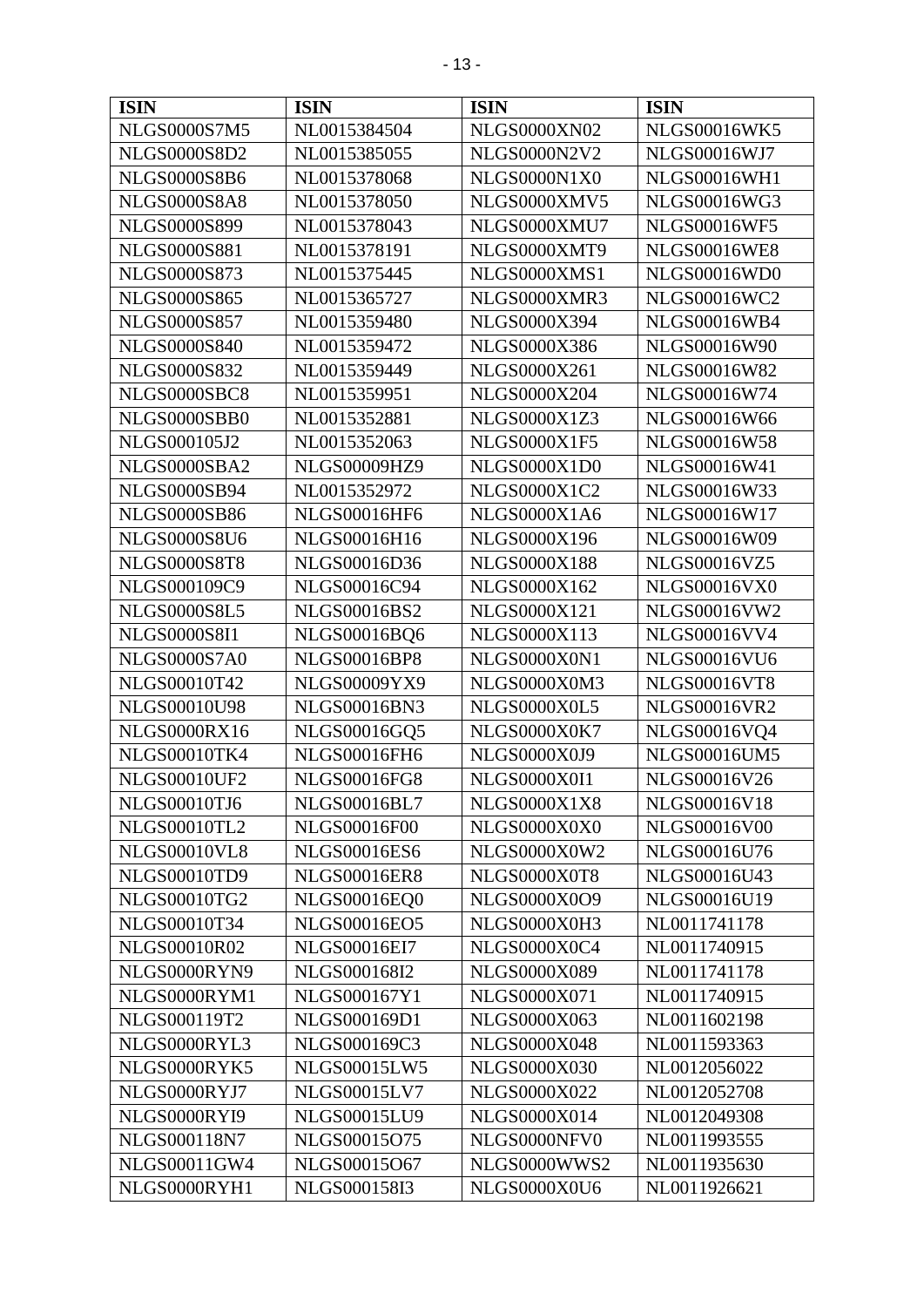| <b>ISIN</b>         | <b>ISIN</b>         | <b>ISIN</b>         | <b>ISIN</b>         |
|---------------------|---------------------|---------------------|---------------------|
| NLGS0000S7M5        | NL0015384504        | <b>NLGS0000XN02</b> | <b>NLGS00016WK5</b> |
| NLGS0000S8D2        | NL0015385055        | <b>NLGS0000N2V2</b> | NLGS00016WJ7        |
| <b>NLGS0000S8B6</b> | NL0015378068        | NLGS0000N1X0        | <b>NLGS00016WH1</b> |
| <b>NLGS0000S8A8</b> | NL0015378050        | NLGS0000XMV5        | NLGS00016WG3        |
| NLGS0000S899        | NL0015378043        | NLGS0000XMU7        | <b>NLGS00016WF5</b> |
| NLGS0000S881        | NL0015378191        | NLGS0000XMT9        | <b>NLGS00016WE8</b> |
| NLGS0000S873        | NL0015375445        | NLGS0000XMS1        | <b>NLGS00016WD0</b> |
| NLGS0000S865        | NL0015365727        | NLGS0000XMR3        | <b>NLGS00016WC2</b> |
| NLGS0000S857        | NL0015359480        | NLGS0000X394        | <b>NLGS00016WB4</b> |
| NLGS0000S840        | NL0015359472        | <b>NLGS0000X386</b> | NLGS00016W90        |
| NLGS0000S832        | NL0015359449        | NLGS0000X261        | NLGS00016W82        |
| NLGS0000SBC8        | NL0015359951        | <b>NLGS0000X204</b> | NLGS00016W74        |
| NLGS0000SBB0        | NL0015352881        | <b>NLGS0000X1Z3</b> | NLGS00016W66        |
| NLGS000105J2        | NL0015352063        | NLGS0000X1F5        | NLGS00016W58        |
| NLGS0000SBA2        | NLGS00009HZ9        | <b>NLGS0000X1D0</b> | NLGS00016W41        |
| <b>NLGS0000SB94</b> | NL0015352972        | <b>NLGS0000X1C2</b> | NLGS00016W33        |
| <b>NLGS0000SB86</b> | NLGS00016HF6        | <b>NLGS0000X1A6</b> | NLGS00016W17        |
| <b>NLGS0000S8U6</b> | NLGS00016H16        | NLGS0000X196        | NLGS00016W09        |
| <b>NLGS0000S8T8</b> | NLGS00016D36        | <b>NLGS0000X188</b> | <b>NLGS00016VZ5</b> |
| NLGS000109C9        | NLGS00016C94        | NLGS0000X162        | <b>NLGS00016VX0</b> |
| <b>NLGS0000S8L5</b> | <b>NLGS00016BS2</b> | NLGS0000X121        | NLGS00016VW2        |
| <b>NLGS0000S8I1</b> | <b>NLGS00016BQ6</b> | NLGS0000X113        | <b>NLGS00016VV4</b> |
| <b>NLGS0000S7A0</b> | <b>NLGS00016BP8</b> | NLGS0000X0N1        | <b>NLGS00016VU6</b> |
| NLGS00010T42        | NLGS00009YX9        | NLGS0000X0M3        | <b>NLGS00016VT8</b> |
| NLGS00010U98        | <b>NLGS00016BN3</b> | NLGS0000X0L5        | <b>NLGS00016VR2</b> |
| <b>NLGS0000RX16</b> | NLGS00016GQ5        | NLGS0000X0K7        | NLGS00016VQ4        |
| <b>NLGS00010TK4</b> | <b>NLGS00016FH6</b> | <b>NLGS0000X0J9</b> | <b>NLGS00016UM5</b> |
| <b>NLGS00010UF2</b> | <b>NLGS00016FG8</b> | NLGS0000X0I1        | NLGS00016V26        |
| <b>NLGS00010TJ6</b> | <b>NLGS00016BL7</b> | <b>NLGS0000X1X8</b> | NLGS00016V18        |
| <b>NLGS00010TL2</b> | NLGS00016F00        | NLGS0000X0X0        | NLGS00016V00        |
| <b>NLGS00010VL8</b> | <b>NLGS00016ES6</b> | NLGS0000X0W2        | NLGS00016U76        |
| NLGS00010TD9        | <b>NLGS00016ER8</b> | NLGS0000X0T8        | NLGS00016U43        |
| NLGS00010TG2        | <b>NLGS00016EQ0</b> | NLGS0000X0O9        | NLGS00016U19        |
| NLGS00010T34        | <b>NLGS00016EO5</b> | NLGS0000X0H3        | NL0011741178        |
| NLGS00010R02        | <b>NLGS00016EI7</b> | NLGS0000X0C4        | NL0011740915        |
| NLGS0000RYN9        | NLGS000168I2        | NLGS0000X089        | NL0011741178        |
| NLGS0000RYM1        | NLGS000167Y1        | NLGS0000X071        | NL0011740915        |
| NLGS000119T2        | NLGS000169D1        | NLGS0000X063        | NL0011602198        |
| NLGS0000RYL3        | NLGS000169C3        | <b>NLGS0000X048</b> | NL0011593363        |
| NLGS0000RYK5        | <b>NLGS00015LW5</b> | NLGS0000X030        | NL0012056022        |
| NLGS0000RYJ7        | <b>NLGS00015LV7</b> | <b>NLGS0000X022</b> | NL0012052708        |
| NLGS0000RYI9        | <b>NLGS00015LU9</b> | NLGS0000X014        | NL0012049308        |
| NLGS000118N7        | NLGS00015O75        | NLGS0000NFV0        | NL0011993555        |
| NLGS00011GW4        | NLGS00015O67        | NLGS0000WWS2        | NL0011935630        |
| NLGS0000RYH1        | NLGS000158I3        | NLGS0000X0U6        | NL0011926621        |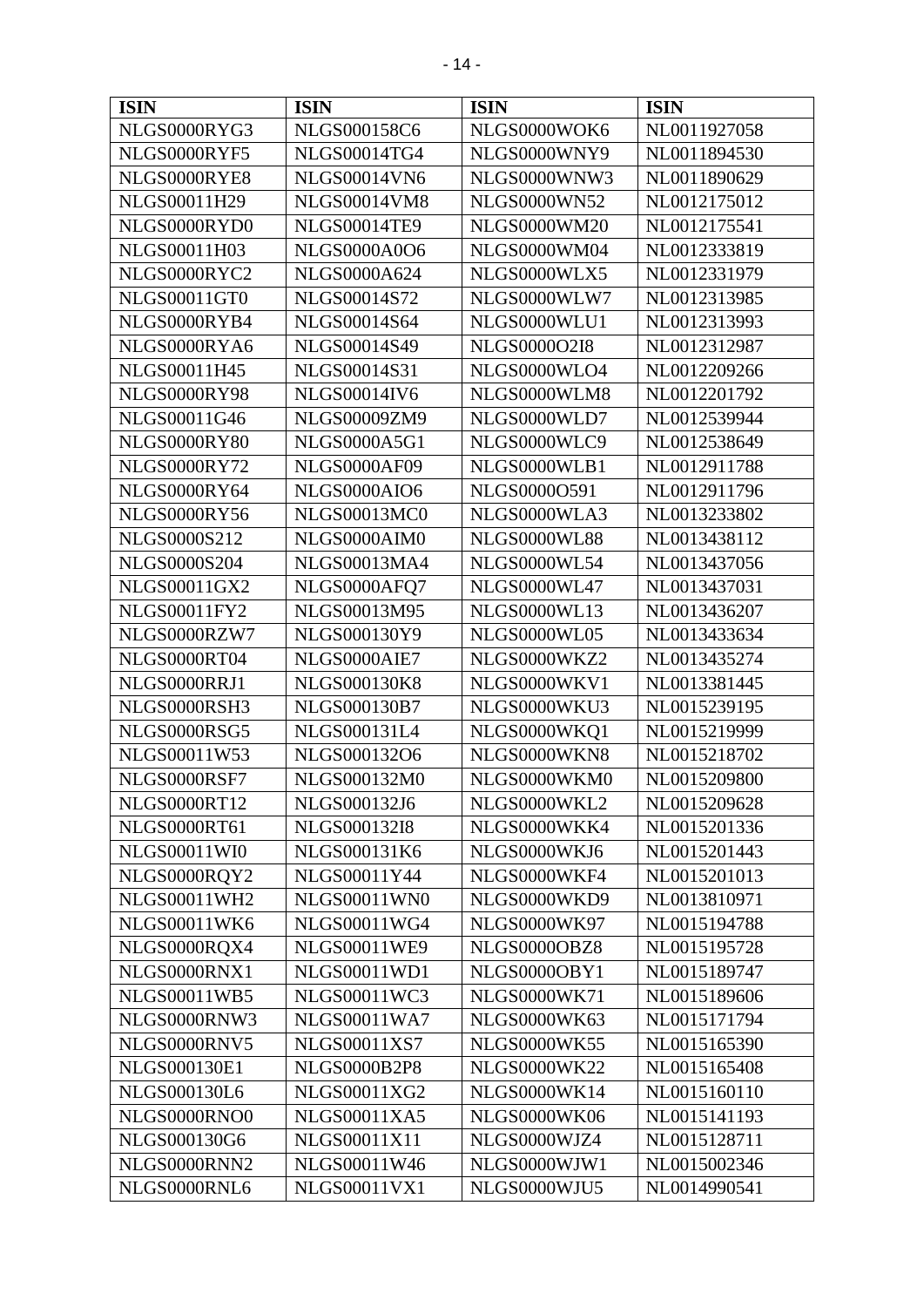| <b>ISIN</b>         | <b>ISIN</b>         | <b>ISIN</b>         | <b>ISIN</b>  |
|---------------------|---------------------|---------------------|--------------|
| NLGS0000RYG3        | NLGS000158C6        | NLGS0000WOK6        | NL0011927058 |
| NLGS0000RYF5        | NLGS00014TG4        | NLGS0000WNY9        | NL0011894530 |
| NLGS0000RYE8        | <b>NLGS00014VN6</b> | NLGS0000WNW3        | NL0011890629 |
| NLGS00011H29        | <b>NLGS00014VM8</b> | <b>NLGS0000WN52</b> | NL0012175012 |
| NLGS0000RYD0        | <b>NLGS00014TE9</b> | <b>NLGS0000WM20</b> | NL0012175541 |
| NLGS00011H03        | <b>NLGS0000A0O6</b> | NLGS0000WM04        | NL0012333819 |
| NLGS0000RYC2        | <b>NLGS0000A624</b> | NLGS0000WLX5        | NL0012331979 |
| NLGS00011GT0        | NLGS00014S72        | NLGS0000WLW7        | NL0012313985 |
| NLGS0000RYB4        | NLGS00014S64        | NLGS0000WLU1        | NL0012313993 |
| NLGS0000RYA6        | NLGS00014S49        | <b>NLGS0000O2I8</b> | NL0012312987 |
| NLGS00011H45        | NLGS00014S31        | NLGS0000WLO4        | NL0012209266 |
| <b>NLGS0000RY98</b> | <b>NLGS00014IV6</b> | NLGS0000WLM8        | NL0012201792 |
| NLGS00011G46        | NLGS00009ZM9        | NLGS0000WLD7        | NL0012539944 |
| <b>NLGS0000RY80</b> | <b>NLGS0000A5G1</b> | NLGS0000WLC9        | NL0012538649 |
| <b>NLGS0000RY72</b> | <b>NLGS0000AF09</b> | NLGS0000WLB1        | NL0012911788 |
| NLGS0000RY64        | NLGS0000AIO6        | NLGS0000O591        | NL0012911796 |
| <b>NLGS0000RY56</b> | <b>NLGS00013MC0</b> | NLGS0000WLA3        | NL0013233802 |
| NLGS0000S212        | NLGS0000AIM0        | <b>NLGS0000WL88</b> | NL0013438112 |
| NLGS0000S204        | <b>NLGS00013MA4</b> | NLGS0000WL54        | NL0013437056 |
| NLGS00011GX2        | NLGS0000AFQ7        | NLGS0000WL47        | NL0013437031 |
| <b>NLGS00011FY2</b> | NLGS00013M95        | <b>NLGS0000WL13</b> | NL0013436207 |
| NLGS0000RZW7        | NLGS000130Y9        | NLGS0000WL05        | NL0013433634 |
| NLGS0000RT04        | NLGS0000AIE7        | NLGS0000WKZ2        | NL0013435274 |
| NLGS0000RRJ1        | NLGS000130K8        | NLGS0000WKV1        | NL0013381445 |
| NLGS0000RSH3        | NLGS000130B7        | NLGS0000WKU3        | NL0015239195 |
| NLGS0000RSG5        | NLGS000131L4        | NLGS0000WKQ1        | NL0015219999 |
| NLGS00011W53        | NLGS000132O6        | NLGS0000WKN8        | NL0015218702 |
| NLGS0000RSF7        | NLGS000132M0        | NLGS0000WKM0        | NL0015209800 |
| <b>NLGS0000RT12</b> | NLGS000132J6        | NLGS0000WKL2        | NL0015209628 |
| <b>NLGS0000RT61</b> | NLGS000132I8        | NLGS0000WKK4        | NL0015201336 |
| <b>NLGS00011WI0</b> | NLGS000131K6        | NLGS0000WKJ6        | NL0015201443 |
| NLGS0000RQY2        | NLGS00011Y44        | NLGS0000WKF4        | NL0015201013 |
| NLGS00011WH2        | NLGS00011WN0        | NLGS0000WKD9        | NL0013810971 |
| NLGS00011WK6        | NLGS00011WG4        | NLGS0000WK97        | NL0015194788 |
| NLGS0000RQX4        | <b>NLGS00011WE9</b> | NLGS0000OBZ8        | NL0015195728 |
| NLGS0000RNX1        | <b>NLGS00011WD1</b> | NLGS0000OBY1        | NL0015189747 |
| <b>NLGS00011WB5</b> | NLGS00011WC3        | <b>NLGS0000WK71</b> | NL0015189606 |
| NLGS0000RNW3        | NLGS00011WA7        | NLGS0000WK63        | NL0015171794 |
| NLGS0000RNV5        | <b>NLGS00011XS7</b> | <b>NLGS0000WK55</b> | NL0015165390 |
| NLGS000130E1        | <b>NLGS0000B2P8</b> | <b>NLGS0000WK22</b> | NL0015165408 |
| NLGS000130L6        | NLGS00011XG2        | NLGS0000WK14        | NL0015160110 |
| NLGS0000RNO0        | <b>NLGS00011XA5</b> | NLGS0000WK06        | NL0015141193 |
| NLGS000130G6        | NLGS00011X11        | NLGS0000WJZ4        | NL0015128711 |
| NLGS0000RNN2        | NLGS00011W46        | NLGS0000WJW1        | NL0015002346 |
| NLGS0000RNL6        | NLGS00011VX1        | NLGS0000WJU5        | NL0014990541 |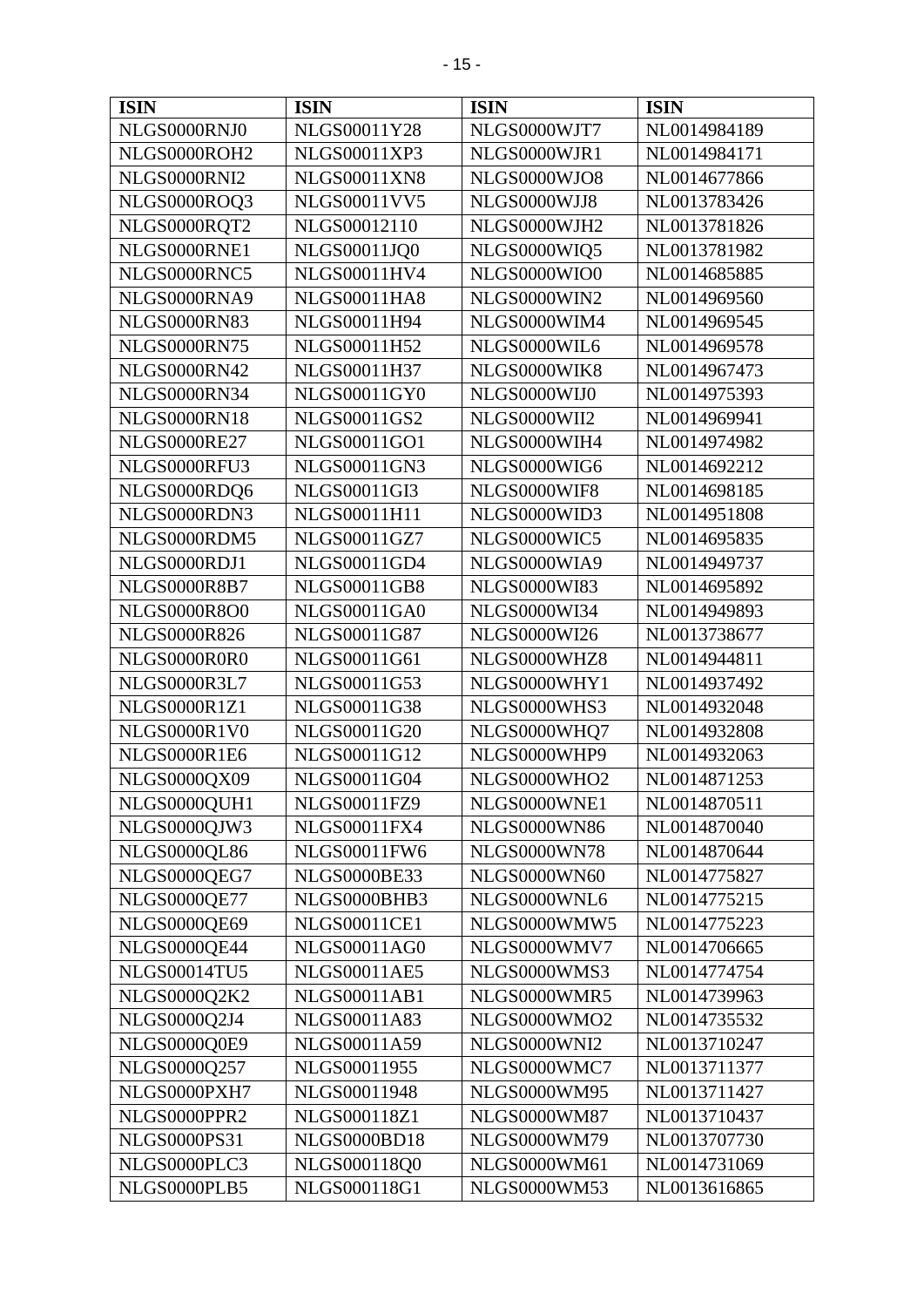| <b>ISIN</b>         | <b>ISIN</b>         | <b>ISIN</b>         | <b>ISIN</b>  |
|---------------------|---------------------|---------------------|--------------|
| NLGS0000RNJ0        | NLGS00011Y28        | NLGS0000WJT7        | NL0014984189 |
| NLGS0000ROH2        | <b>NLGS00011XP3</b> | NLGS0000WJR1        | NL0014984171 |
| NLGS0000RNI2        | <b>NLGS00011XN8</b> | NLGS0000WJO8        | NL0014677866 |
| NLGS0000ROQ3        | <b>NLGS00011VV5</b> | NLGS0000WJJ8        | NL0013783426 |
| NLGS0000RQT2        | NLGS00012110        | NLGS0000WJH2        | NL0013781826 |
| NLGS0000RNE1        | NLGS00011JQ0        | NLGS0000WIQ5        | NL0013781982 |
| NLGS0000RNC5        | <b>NLGS00011HV4</b> | NLGS0000WIO0        | NL0014685885 |
| NLGS0000RNA9        | <b>NLGS00011HA8</b> | NLGS0000WIN2        | NL0014969560 |
| <b>NLGS0000RN83</b> | NLGS00011H94        | NLGS0000WIM4        | NL0014969545 |
| <b>NLGS0000RN75</b> | NLGS00011H52        | NLGS0000WIL6        | NL0014969578 |
| <b>NLGS0000RN42</b> | NLGS00011H37        | NLGS0000WIK8        | NL0014967473 |
| <b>NLGS0000RN34</b> | <b>NLGS00011GY0</b> | NLGS0000WIJ0        | NL0014975393 |
| <b>NLGS0000RN18</b> | NLGS00011GS2        | NLGS0000WII2        | NL0014969941 |
| <b>NLGS0000RE27</b> | NLGS00011GO1        | NLGS0000WIH4        | NL0014974982 |
| NLGS0000RFU3        | <b>NLGS00011GN3</b> | NLGS0000WIG6        | NL0014692212 |
| NLGS0000RDQ6        | NLGS00011GI3        | NLGS0000WIF8        | NL0014698185 |
| NLGS0000RDN3        | NLGS00011H11        | NLGS0000WID3        | NL0014951808 |
| NLGS0000RDM5        | NLGS00011GZ7        | NLGS0000WIC5        | NL0014695835 |
| NLGS0000RDJ1        | NLGS00011GD4        | NLGS0000WIA9        | NL0014949737 |
| <b>NLGS0000R8B7</b> | <b>NLGS00011GB8</b> | <b>NLGS0000WI83</b> | NL0014695892 |
| <b>NLGS0000R8O0</b> | <b>NLGS00011GA0</b> | <b>NLGS0000WI34</b> | NL0014949893 |
| <b>NLGS0000R826</b> | NLGS00011G87        | <b>NLGS0000WI26</b> | NL0013738677 |
| NLGS0000R0R0        | NLGS00011G61        | NLGS0000WHZ8        | NL0014944811 |
| NLGS0000R3L7        | NLGS00011G53        | NLGS0000WHY1        | NL0014937492 |
| <b>NLGS0000R1Z1</b> | NLGS00011G38        | NLGS0000WHS3        | NL0014932048 |
| NLGS0000R1V0        | NLGS00011G20        | NLGS0000WHQ7        | NL0014932808 |
| <b>NLGS0000R1E6</b> | NLGS00011G12        | NLGS0000WHP9        | NL0014932063 |
| NLGS0000QX09        | NLGS00011G04        | NLGS0000WHO2        | NL0014871253 |
| NLGS0000QUH1        | <b>NLGS00011FZ9</b> | NLGS0000WNE1        | NL0014870511 |
| NLGS0000QJW3        | <b>NLGS00011FX4</b> | <b>NLGS0000WN86</b> | NL0014870040 |
| NLGS0000QL86        | <b>NLGS00011FW6</b> | <b>NLGS0000WN78</b> | NL0014870644 |
| NLGS0000QEG7        | <b>NLGS0000BE33</b> | <b>NLGS0000WN60</b> | NL0014775827 |
| <b>NLGS0000QE77</b> | NLGS0000BHB3        | NLGS0000WNL6        | NL0014775215 |
| <b>NLGS0000QE69</b> | <b>NLGS00011CE1</b> | NLGS0000WMW5        | NL0014775223 |
| NLGS0000QE44        | NLGS00011AG0        | NLGS0000WMV7        | NL0014706665 |
| <b>NLGS00014TU5</b> | <b>NLGS00011AE5</b> | NLGS0000WMS3        | NL0014774754 |
| NLGS0000Q2K2        | <b>NLGS00011AB1</b> | NLGS0000WMR5        | NL0014739963 |
| NLGS0000Q2J4        | NLGS00011A83        | NLGS0000WMO2        | NL0014735532 |
| NLGS0000Q0E9        | NLGS00011A59        | NLGS0000WNI2        | NL0013710247 |
| NLGS0000Q257        | NLGS00011955        | NLGS0000WMC7        | NL0013711377 |
| NLGS0000PXH7        | NLGS00011948        | <b>NLGS0000WM95</b> | NL0013711427 |
| NLGS0000PPR2        | NLGS000118Z1        | <b>NLGS0000WM87</b> | NL0013710437 |
| <b>NLGS0000PS31</b> | <b>NLGS0000BD18</b> | <b>NLGS0000WM79</b> | NL0013707730 |
| NLGS0000PLC3        | NLGS000118Q0        | <b>NLGS0000WM61</b> | NL0014731069 |
| NLGS0000PLB5        | NLGS000118G1        | NLGS0000WM53        | NL0013616865 |
|                     |                     |                     |              |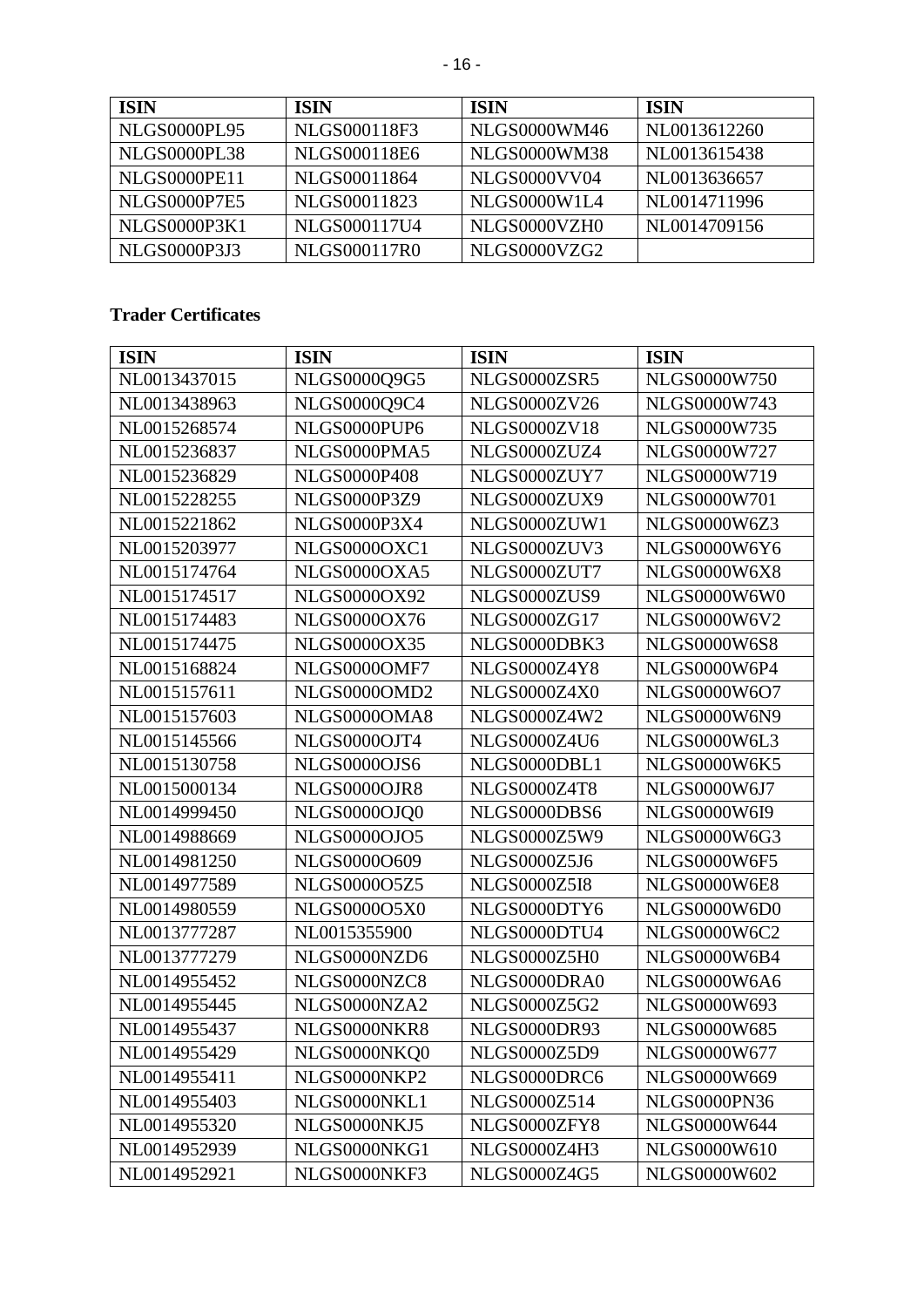| <b>ISIN</b>         | <b>ISIN</b>  | <b>ISIN</b>         | <b>ISIN</b>  |
|---------------------|--------------|---------------------|--------------|
| NLGS0000PL95        | NLGS000118F3 | <b>NLGS0000WM46</b> | NL0013612260 |
| NLGS0000PL38        | NLGS000118E6 | <b>NLGS0000WM38</b> | NL0013615438 |
| <b>NLGS0000PE11</b> | NLGS00011864 | <b>NLGS0000VV04</b> | NL0013636657 |
| <b>NLGS0000P7E5</b> | NLGS00011823 | NLGS0000W1L4        | NL0014711996 |
| <b>NLGS0000P3K1</b> | NLGS000117U4 | NLGS0000VZH0        | NL0014709156 |
| <b>NLGS0000P3J3</b> | NLGS000117R0 | NLGS0000VZG2        |              |

# **Trader Certificates**

| <b>ISIN</b>  | <b>ISIN</b>         | <b>ISIN</b>         | <b>ISIN</b>         |
|--------------|---------------------|---------------------|---------------------|
| NL0013437015 | NLGS0000Q9G5        | NLGS0000ZSR5        | NLGS0000W750        |
| NL0013438963 | NLGS0000Q9C4        | NLGS0000ZV26        | NLGS0000W743        |
| NL0015268574 | NLGS0000PUP6        | <b>NLGS0000ZV18</b> | <b>NLGS0000W735</b> |
| NL0015236837 | NLGS0000PMA5        | NLGS0000ZUZ4        | NLGS0000W727        |
| NL0015236829 | <b>NLGS0000P408</b> | NLGS0000ZUY7        | NLGS0000W719        |
| NL0015228255 | <b>NLGS0000P3Z9</b> | NLGS0000ZUX9        | NLGS0000W701        |
| NL0015221862 | <b>NLGS0000P3X4</b> | NLGS0000ZUW1        | <b>NLGS0000W6Z3</b> |
| NL0015203977 | NLGS0000OXC1        | NLGS0000ZUV3        | NLGS0000W6Y6        |
| NL0015174764 | NLGS0000OXA5        | NLGS0000ZUT7        | NLGS0000W6X8        |
| NL0015174517 | <b>NLGS0000OX92</b> | NLGS0000ZUS9        | NLGS0000W6W0        |
| NL0015174483 | NLGS0000OX76        | NLGS0000ZG17        | NLGS0000W6V2        |
| NL0015174475 | <b>NLGS0000OX35</b> | NLGS0000DBK3        | <b>NLGS0000W6S8</b> |
| NL0015168824 | NLGS0000OMF7        | <b>NLGS0000Z4Y8</b> | NLGS0000W6P4        |
| NL0015157611 | <b>NLGS0000OMD2</b> | NLGS0000Z4X0        | NLGS0000W6O7        |
| NL0015157603 | NLGS0000OMA8        | NLGS0000Z4W2        | NLGS0000W6N9        |
| NL0015145566 | NLGS0000OJT4        | NLGS0000Z4U6        | NLGS0000W6L3        |
| NL0015130758 | NLGS0000OJS6        | NLGS0000DBL1        | NLGS0000W6K5        |
| NL0015000134 | NLGS0000OJR8        | <b>NLGS0000Z4T8</b> | NLGS0000W6J7        |
| NL0014999450 | NLGS0000OJQ0        | NLGS0000DBS6        | NLGS0000W6I9        |
| NL0014988669 | <b>NLGS0000OJO5</b> | NLGS0000Z5W9        | <b>NLGS0000W6G3</b> |
| NL0014981250 | NLGS0000O609        | NLGS0000Z5J6        | NLGS0000W6F5        |
| NL0014977589 | NLGS0000O5Z5        | <b>NLGS0000Z5I8</b> | <b>NLGS0000W6E8</b> |
| NL0014980559 | NLGS0000O5X0        | NLGS0000DTY6        | NLGS0000W6D0        |
| NL0013777287 | NL0015355900        | NLGS0000DTU4        | <b>NLGS0000W6C2</b> |
| NL0013777279 | NLGS0000NZD6        | NLGS0000Z5H0        | <b>NLGS0000W6B4</b> |
| NL0014955452 | NLGS0000NZC8        | NLGS0000DRA0        | <b>NLGS0000W6A6</b> |
| NL0014955445 | NLGS0000NZA2        | NLGS0000Z5G2        | NLGS0000W693        |
| NL0014955437 | NLGS0000NKR8        | NLGS0000DR93        | NLGS0000W685        |
| NL0014955429 | NLGS0000NKQ0        | NLGS0000Z5D9        | NLGS0000W677        |
| NL0014955411 | NLGS0000NKP2        | NLGS0000DRC6        | NLGS0000W669        |
| NL0014955403 | NLGS0000NKL1        | NLGS0000Z514        | <b>NLGS0000PN36</b> |
| NL0014955320 | NLGS0000NKJ5        | NLGS0000ZFY8        | NLGS0000W644        |
| NL0014952939 | NLGS0000NKG1        | NLGS0000Z4H3        | NLGS0000W610        |
| NL0014952921 | NLGS0000NKF3        | NLGS0000Z4G5        | NLGS0000W602        |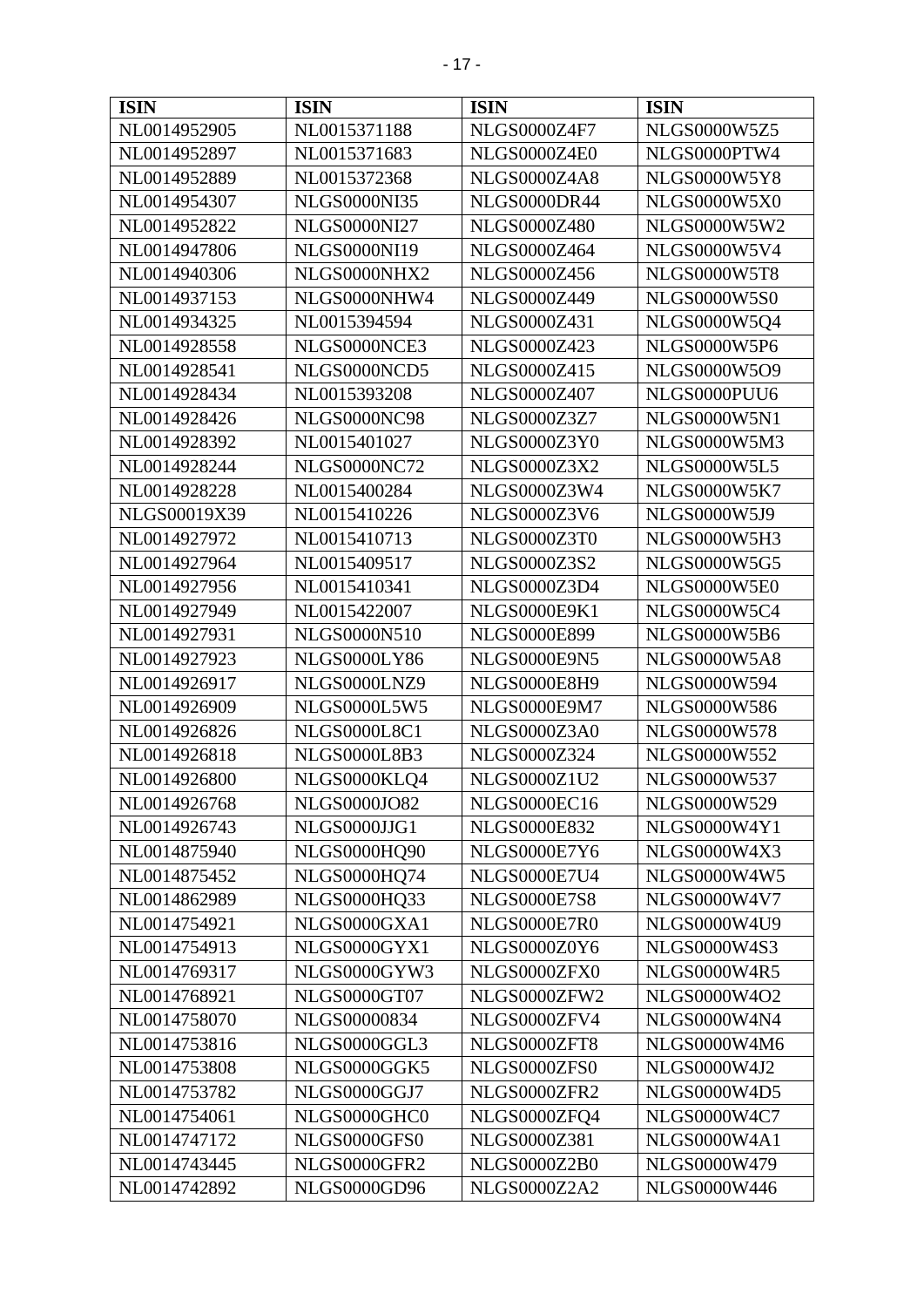| <b>ISIN</b>  | <b>ISIN</b>         | <b>ISIN</b>         | <b>ISIN</b>         |
|--------------|---------------------|---------------------|---------------------|
| NL0014952905 | NL0015371188        | NLGS0000Z4F7        | NLGS0000W5Z5        |
| NL0014952897 | NL0015371683        | NLGS0000Z4E0        | NLGS0000PTW4        |
| NL0014952889 | NL0015372368        | <b>NLGS0000Z4A8</b> | <b>NLGS0000W5Y8</b> |
| NL0014954307 | <b>NLGS0000NI35</b> | <b>NLGS0000DR44</b> | NLGS0000W5X0        |
| NL0014952822 | <b>NLGS0000NI27</b> | NLGS0000Z480        | <b>NLGS0000W5W2</b> |
| NL0014947806 | <b>NLGS0000NI19</b> | NLGS0000Z464        | NLGS0000W5V4        |
| NL0014940306 | NLGS0000NHX2        | NLGS0000Z456        | <b>NLGS0000W5T8</b> |
| NL0014937153 | NLGS0000NHW4        | NLGS0000Z449        | NLGS0000W5S0        |
| NL0014934325 | NL0015394594        | NLGS0000Z431        | NLGS0000W5Q4        |
| NL0014928558 | NLGS0000NCE3        | NLGS0000Z423        | <b>NLGS0000W5P6</b> |
| NL0014928541 | NLGS0000NCD5        | NLGS0000Z415        | NLGS0000W5O9        |
| NL0014928434 | NL0015393208        | NLGS0000Z407        | NLGS0000PUU6        |
| NL0014928426 | <b>NLGS0000NC98</b> | <b>NLGS0000Z3Z7</b> | <b>NLGS0000W5N1</b> |
| NL0014928392 | NL0015401027        | <b>NLGS0000Z3Y0</b> | <b>NLGS0000W5M3</b> |
| NL0014928244 | <b>NLGS0000NC72</b> | <b>NLGS0000Z3X2</b> | <b>NLGS0000W5L5</b> |
| NL0014928228 | NL0015400284        | NLGS0000Z3W4        | <b>NLGS0000W5K7</b> |
| NLGS00019X39 | NL0015410226        | <b>NLGS0000Z3V6</b> | NLGS0000W5J9        |
| NL0014927972 | NL0015410713        | NLGS0000Z3T0        | NLGS0000W5H3        |
| NL0014927964 | NL0015409517        | <b>NLGS0000Z3S2</b> | <b>NLGS0000W5G5</b> |
| NL0014927956 | NL0015410341        | NLGS0000Z3D4        | NLGS0000W5E0        |
| NL0014927949 | NL0015422007        | NLGS0000E9K1        | <b>NLGS0000W5C4</b> |
| NL0014927931 | <b>NLGS0000N510</b> | <b>NLGS0000E899</b> | <b>NLGS0000W5B6</b> |
| NL0014927923 | <b>NLGS0000LY86</b> | <b>NLGS0000E9N5</b> | <b>NLGS0000W5A8</b> |
| NL0014926917 | NLGS0000LNZ9        | <b>NLGS0000E8H9</b> | NLGS0000W594        |
| NL0014926909 | NLGS0000L5W5        | <b>NLGS0000E9M7</b> | NLGS0000W586        |
| NL0014926826 | <b>NLGS0000L8C1</b> | NLGS0000Z3A0        | NLGS0000W578        |
| NL0014926818 | <b>NLGS0000L8B3</b> | NLGS0000Z324        | NLGS0000W552        |
| NL0014926800 | NLGS0000KLQ4        | NLGS0000Z1U2        | NLGS0000W537        |
| NL0014926768 | <b>NLGS0000JO82</b> | <b>NLGS0000EC16</b> | NLGS0000W529        |
| NL0014926743 | NLGS0000JJG1        | <b>NLGS0000E832</b> | NLGS0000W4Y1        |
| NL0014875940 | <b>NLGS0000HQ90</b> | <b>NLGS0000E7Y6</b> | <b>NLGS0000W4X3</b> |
| NL0014875452 | NLGS0000HQ74        | <b>NLGS0000E7U4</b> | <b>NLGS0000W4W5</b> |
| NL0014862989 | NLGS0000HQ33        | <b>NLGS0000E7S8</b> | NLGS0000W4V7        |
| NL0014754921 | NLGS0000GXA1        | NLGS0000E7R0        | <b>NLGS0000W4U9</b> |
| NL0014754913 | NLGS0000GYX1        | <b>NLGS0000Z0Y6</b> | NLGS0000W4S3        |
| NL0014769317 | NLGS0000GYW3        | NLGS0000ZFX0        | <b>NLGS0000W4R5</b> |
| NL0014768921 | NLGS0000GT07        | NLGS0000ZFW2        | NLGS0000W4O2        |
| NL0014758070 | NLGS00000834        | NLGS0000ZFV4        | NLGS0000W4N4        |
| NL0014753816 | NLGS0000GGL3        | NLGS0000ZFT8        | <b>NLGS0000W4M6</b> |
| NL0014753808 | NLGS0000GGK5        | NLGS0000ZFS0        | NLGS0000W4J2        |
| NL0014753782 | NLGS0000GGJ7        | NLGS0000ZFR2        | <b>NLGS0000W4D5</b> |
| NL0014754061 | NLGS0000GHC0        | NLGS0000ZFQ4        | NLGS0000W4C7        |
| NL0014747172 | NLGS0000GFS0        | NLGS0000Z381        | NLGS0000W4A1        |
| NL0014743445 | NLGS0000GFR2        | <b>NLGS0000Z2B0</b> | NLGS0000W479        |
| NL0014742892 | NLGS0000GD96        | NLGS0000Z2A2        | NLGS0000W446        |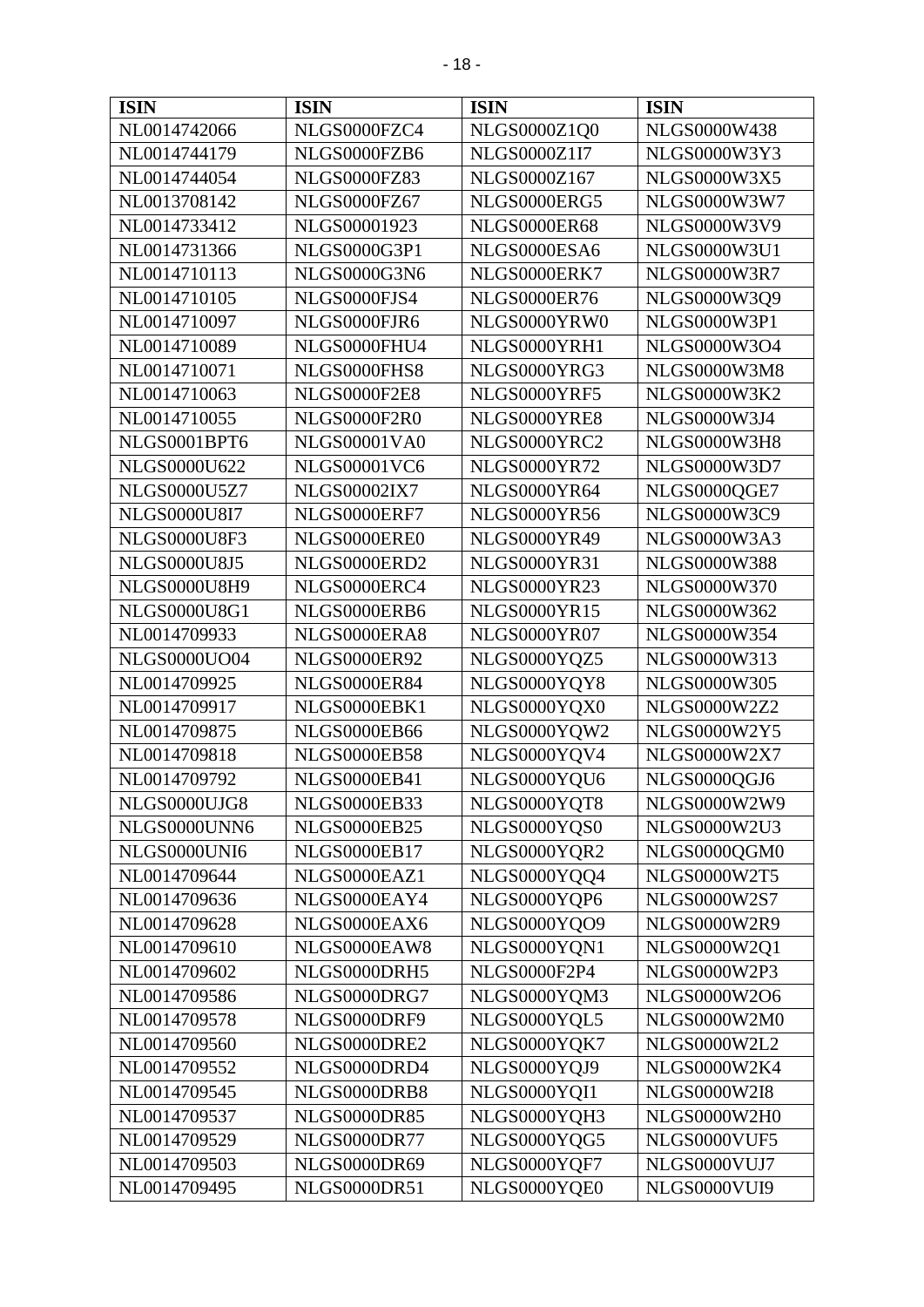| <b>ISIN</b>         | <b>ISIN</b>         | <b>ISIN</b>         | <b>ISIN</b>         |
|---------------------|---------------------|---------------------|---------------------|
| NL0014742066        | NLGS0000FZC4        | NLGS0000Z1Q0        | NLGS0000W438        |
| NL0014744179        | NLGS0000FZB6        | NLGS0000Z1I7        | <b>NLGS0000W3Y3</b> |
| NL0014744054        | <b>NLGS0000FZ83</b> | NLGS0000Z167        | NLGS0000W3X5        |
| NL0013708142        | NLGS0000FZ67        | NLGS0000ERG5        | NLGS0000W3W7        |
| NL0014733412        | NLGS00001923        | <b>NLGS0000ER68</b> | NLGS0000W3V9        |
| NL0014731366        | NLGS0000G3P1        | NLGS0000ESA6        | NLGS0000W3U1        |
| NL0014710113        | <b>NLGS0000G3N6</b> | NLGS0000ERK7        | <b>NLGS0000W3R7</b> |
| NL0014710105        | NLGS0000FJS4        | <b>NLGS0000ER76</b> | NLGS0000W3Q9        |
| NL0014710097        | NLGS0000FJR6        | NLGS0000YRW0        | NLGS0000W3P1        |
| NL0014710089        | NLGS0000FHU4        | NLGS0000YRH1        | NLGS0000W3O4        |
| NL0014710071        | NLGS0000FHS8        | NLGS0000YRG3        | <b>NLGS0000W3M8</b> |
| NL0014710063        | <b>NLGS0000F2E8</b> | NLGS0000YRF5        | <b>NLGS0000W3K2</b> |
| NL0014710055        | <b>NLGS0000F2R0</b> | NLGS0000YRE8        | NLGS0000W3J4        |
| NLGS0001BPT6        | NLGS00001VA0        | NLGS0000YRC2        | NLGS0000W3H8        |
| <b>NLGS0000U622</b> | <b>NLGS00001VC6</b> | <b>NLGS0000YR72</b> | NLGS0000W3D7        |
| <b>NLGS0000U5Z7</b> | <b>NLGS00002IX7</b> | NLGS0000YR64        | NLGS0000QGE7        |
| <b>NLGS0000U8I7</b> | NLGS0000ERF7        | <b>NLGS0000YR56</b> | NLGS0000W3C9        |
| <b>NLGS0000U8F3</b> | NLGS0000ERE0        | NLGS0000YR49        | NLGS0000W3A3        |
| <b>NLGS0000U8J5</b> | NLGS0000ERD2        | <b>NLGS0000YR31</b> | NLGS0000W388        |
| <b>NLGS0000U8H9</b> | NLGS0000ERC4        | NLGS0000YR23        | NLGS0000W370        |
| <b>NLGS0000U8G1</b> | NLGS0000ERB6        | <b>NLGS0000YR15</b> | NLGS0000W362        |
| NL0014709933        | NLGS0000ERA8        | NLGS0000YR07        | NLGS0000W354        |
| <b>NLGS0000UO04</b> | <b>NLGS0000ER92</b> | NLGS0000YQZ5        | NLGS0000W313        |
| NL0014709925        | <b>NLGS0000ER84</b> | NLGS0000YQY8        | NLGS0000W305        |
| NL0014709917        | NLGS0000EBK1        | NLGS0000YQX0        | NLGS0000W2Z2        |
| NL0014709875        | NLGS0000EB66        | NLGS0000YQW2        | NLGS0000W2Y5        |
| NL0014709818        | <b>NLGS0000EB58</b> | NLGS0000YQV4        | <b>NLGS0000W2X7</b> |
| NL0014709792        | <b>NLGS0000EB41</b> | NLGS0000YQU6        | NLGS0000QGJ6        |
| NLGS0000UJG8        | <b>NLGS0000EB33</b> | NLGS0000YQT8        | NLGS0000W2W9        |
| NLGS0000UNN6        | <b>NLGS0000EB25</b> | NLGS0000YQS0        | NLGS0000W2U3        |
| NLGS0000UNI6        | <b>NLGS0000EB17</b> | NLGS0000YQR2        | NLGS0000QGM0        |
| NL0014709644        | NLGS0000EAZ1        | NLGS0000YQQ4        | NLGS0000W2T5        |
| NL0014709636        | NLGS0000EAY4        | NLGS0000YQP6        | NLGS0000W2S7        |
| NL0014709628        | NLGS0000EAX6        | NLGS0000YQO9        | <b>NLGS0000W2R9</b> |
| NL0014709610        | NLGS0000EAW8        | NLGS0000YQN1        | NLGS0000W2Q1        |
| NL0014709602        | NLGS0000DRH5        | <b>NLGS0000F2P4</b> | <b>NLGS0000W2P3</b> |
| NL0014709586        | NLGS0000DRG7        | NLGS0000YQM3        | NLGS0000W2O6        |
| NL0014709578        | NLGS0000DRF9        | NLGS0000YQL5        | NLGS0000W2M0        |
| NL0014709560        | NLGS0000DRE2        | NLGS0000YQK7        | NLGS0000W2L2        |
| NL0014709552        | NLGS0000DRD4        | NLGS0000YQJ9        | NLGS0000W2K4        |
| NL0014709545        | NLGS0000DRB8        | NLGS0000YQI1        | <b>NLGS0000W2I8</b> |
| NL0014709537        | <b>NLGS0000DR85</b> | NLGS0000YQH3        | NLGS0000W2H0        |
| NL0014709529        | <b>NLGS0000DR77</b> | NLGS0000YQG5        | NLGS0000VUF5        |
| NL0014709503        | <b>NLGS0000DR69</b> | NLGS0000YQF7        | NLGS0000VUJ7        |
| NL0014709495        | <b>NLGS0000DR51</b> | NLGS0000YQE0        | NLGS0000VUI9        |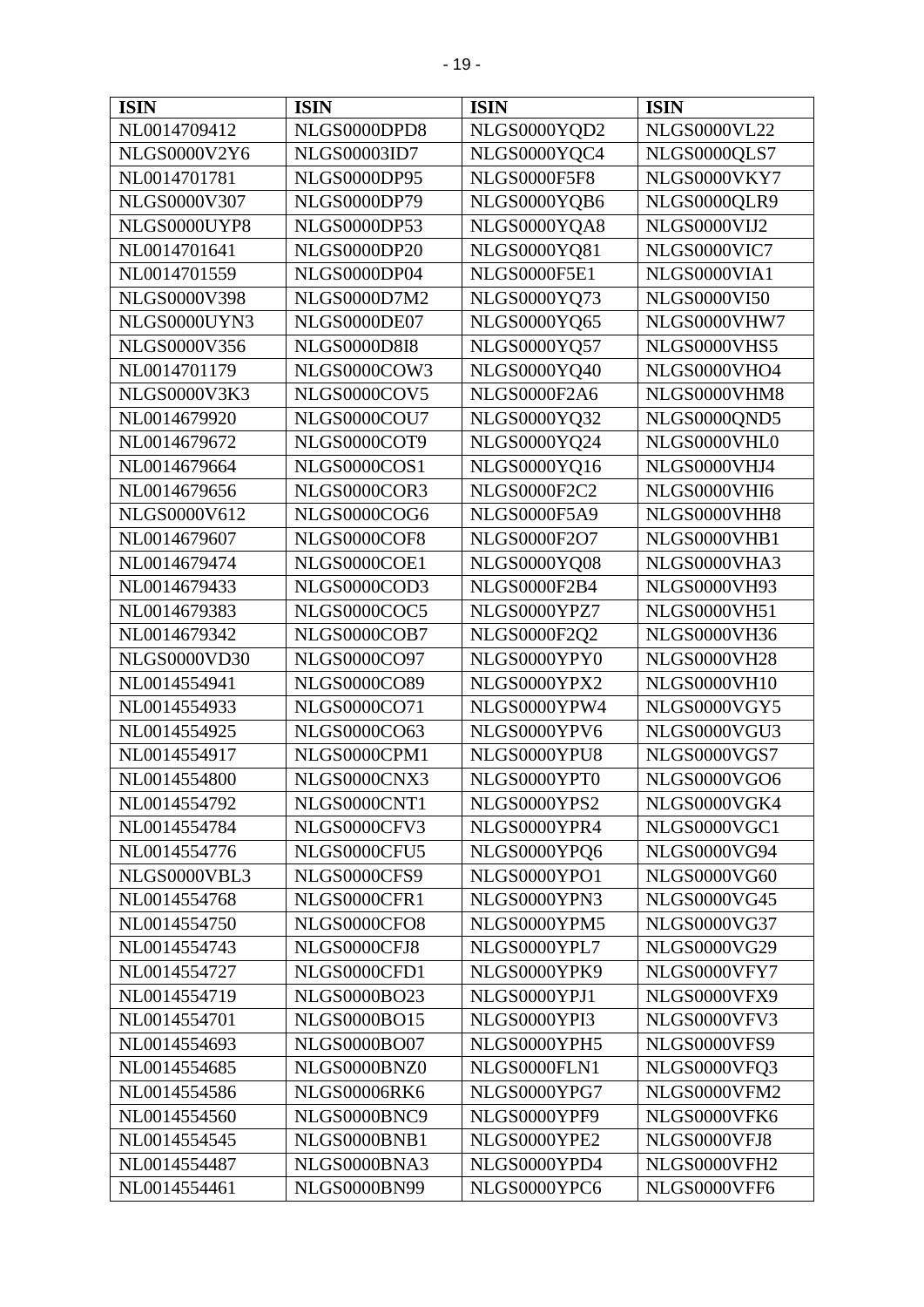| <b>ISIN</b>         | <b>ISIN</b>         | <b>ISIN</b>         | <b>ISIN</b>         |
|---------------------|---------------------|---------------------|---------------------|
| NL0014709412        | NLGS0000DPD8        | NLGS0000YQD2        | <b>NLGS0000VL22</b> |
| <b>NLGS0000V2Y6</b> | <b>NLGS00003ID7</b> | NLGS0000YQC4        | NLGS0000QLS7        |
| NL0014701781        | <b>NLGS0000DP95</b> | <b>NLGS0000F5F8</b> | NLGS0000VKY7        |
| NLGS0000V307        | <b>NLGS0000DP79</b> | NLGS0000YQB6        | NLGS0000QLR9        |
| NLGS0000UYP8        | <b>NLGS0000DP53</b> | NLGS0000YQA8        | NLGS0000VIJ2        |
| NL0014701641        | NLGS0000DP20        | NLGS0000YQ81        | NLGS0000VIC7        |
| NL0014701559        | NLGS0000DP04        | <b>NLGS0000F5E1</b> | NLGS0000VIA1        |
| NLGS0000V398        | <b>NLGS0000D7M2</b> | NLGS0000YQ73        | <b>NLGS0000VI50</b> |
| NLGS0000UYN3        | NLGS0000DE07        | NLGS0000YQ65        | NLGS0000VHW7        |
| <b>NLGS0000V356</b> | <b>NLGS0000D8I8</b> | NLGS0000YQ57        | NLGS0000VHS5        |
| NL0014701179        | NLGS0000COW3        | NLGS0000YQ40        | NLGS0000VHO4        |
| <b>NLGS0000V3K3</b> | NLGS0000COV5        | NLGS0000F2A6        | NLGS0000VHM8        |
| NL0014679920        | NLGS0000COU7        | <b>NLGS0000YQ32</b> | NLGS0000QND5        |
| NL0014679672        | NLGS0000COT9        | NLGS0000YQ24        | NLGS0000VHL0        |
| NL0014679664        | NLGS0000COS1        | NLGS0000YQ16        | NLGS0000VHJ4        |
| NL0014679656        | NLGS0000COR3        | <b>NLGS0000F2C2</b> | NLGS0000VHI6        |
| NLGS0000V612        | NLGS0000COG6        | <b>NLGS0000F5A9</b> | NLGS0000VHH8        |
| NL0014679607        | NLGS0000COF8        | <b>NLGS0000F2O7</b> | NLGS0000VHB1        |
| NL0014679474        | NLGS0000COE1        | NLGS0000YQ08        | NLGS0000VHA3        |
| NL0014679433        | NLGS0000COD3        | NLGS0000F2B4        | NLGS0000VH93        |
| NL0014679383        | NLGS0000COC5        | NLGS0000YPZ7        | <b>NLGS0000VH51</b> |
| NL0014679342        | NLGS0000COB7        | <b>NLGS0000F2Q2</b> | NLGS0000VH36        |
| <b>NLGS0000VD30</b> | NLGS0000CO97        | NLGS0000YPY0        | <b>NLGS0000VH28</b> |
| NL0014554941        | <b>NLGS0000CO89</b> | NLGS0000YPX2        | <b>NLGS0000VH10</b> |
| NL0014554933        | NLGS0000CO71        | NLGS0000YPW4        | NLGS0000VGY5        |
| NL0014554925        | <b>NLGS0000CO63</b> | NLGS0000YPV6        | NLGS0000VGU3        |
| NL0014554917        | NLGS0000CPM1        | NLGS0000YPU8        | NLGS0000VGS7        |
| NL0014554800        | NLGS0000CNX3        | NLGS0000YPT0        | NLGS0000VGO6        |
| NL0014554792        | NLGS0000CNT1        | NLGS0000YPS2        | NLGS0000VGK4        |
| NL0014554784        | NLGS0000CFV3        | NLGS0000YPR4        | NLGS0000VGC1        |
| NL0014554776        | NLGS0000CFU5        | NLGS0000YPQ6        | NLGS0000VG94        |
| NLGS0000VBL3        | NLGS0000CFS9        | NLGS0000YPO1        | <b>NLGS0000VG60</b> |
| NL0014554768        | NLGS0000CFR1        | NLGS0000YPN3        | <b>NLGS0000VG45</b> |
| NL0014554750        | NLGS0000CFO8        | NLGS0000YPM5        | <b>NLGS0000VG37</b> |
| NL0014554743        | NLGS0000CFJ8        | NLGS0000YPL7        | <b>NLGS0000VG29</b> |
| NL0014554727        | NLGS0000CFD1        | NLGS0000YPK9        | NLGS0000VFY7        |
| NL0014554719        | <b>NLGS0000BO23</b> | NLGS0000YPJ1        | NLGS0000VFX9        |
| NL0014554701        | <b>NLGS0000BO15</b> | NLGS0000YPI3        | NLGS0000VFV3        |
| NL0014554693        | <b>NLGS0000BO07</b> | NLGS0000YPH5        | NLGS0000VFS9        |
| NL0014554685        | NLGS0000BNZ0        | NLGS0000FLN1        | NLGS0000VFQ3        |
| NL0014554586        | NLGS00006RK6        | NLGS0000YPG7        | NLGS0000VFM2        |
| NL0014554560        | NLGS0000BNC9        | NLGS0000YPF9        | NLGS0000VFK6        |
| NL0014554545        | NLGS0000BNB1        | NLGS0000YPE2        | NLGS0000VFJ8        |
| NL0014554487        | NLGS0000BNA3        | NLGS0000YPD4        | NLGS0000VFH2        |
| NL0014554461        | NLGS0000BN99        | NLGS0000YPC6        | NLGS0000VFF6        |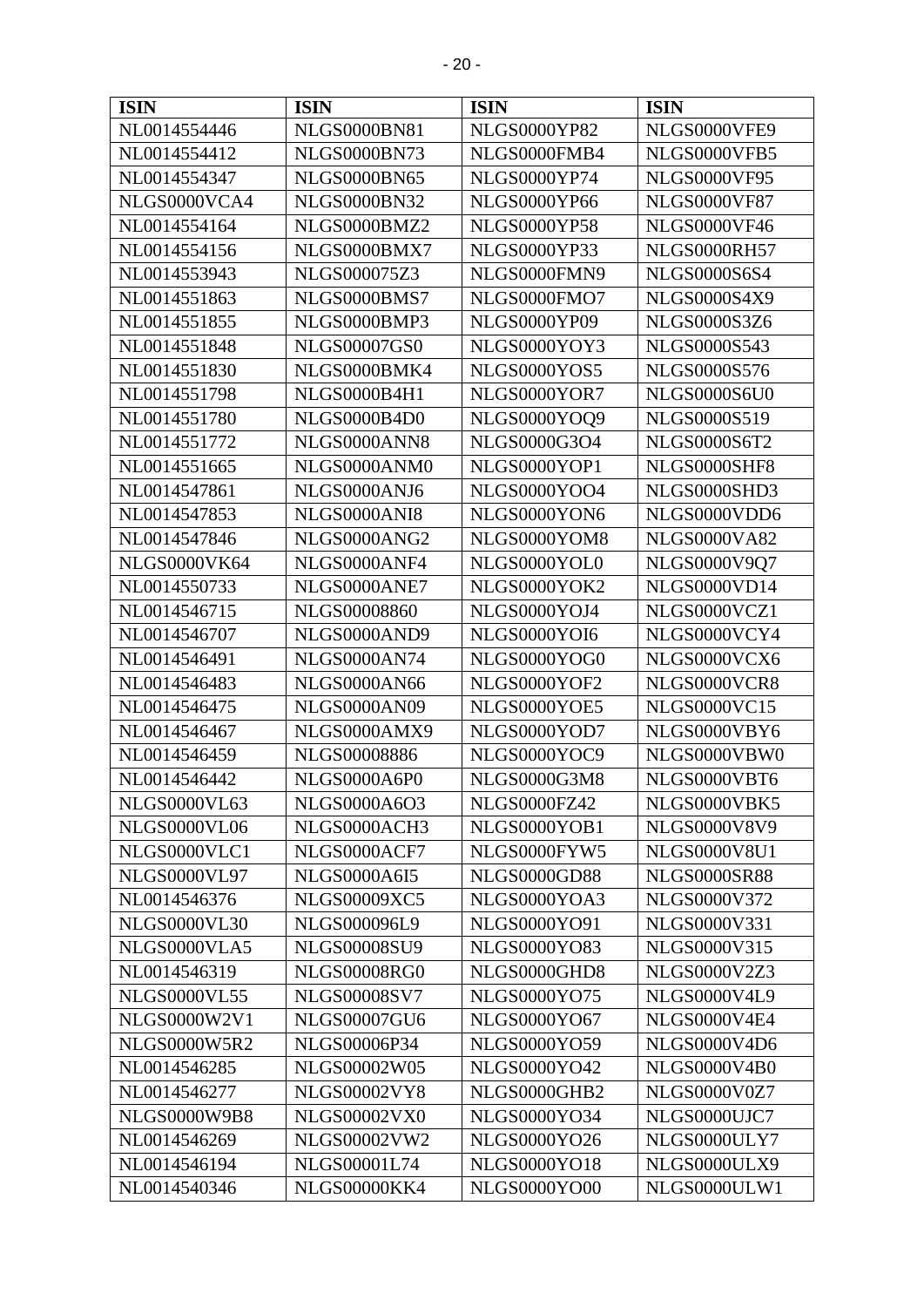| <b>ISIN</b>         | <b>ISIN</b>         | <b>ISIN</b>         | <b>ISIN</b>         |
|---------------------|---------------------|---------------------|---------------------|
| NL0014554446        | <b>NLGS0000BN81</b> | <b>NLGS0000YP82</b> | NLGS0000VFE9        |
| NL0014554412        | <b>NLGS0000BN73</b> | NLGS0000FMB4        | NLGS0000VFB5        |
| NL0014554347        | <b>NLGS0000BN65</b> | <b>NLGS0000YP74</b> | <b>NLGS0000VF95</b> |
| NLGS0000VCA4        | <b>NLGS0000BN32</b> | NLGS0000YP66        | <b>NLGS0000VF87</b> |
| NL0014554164        | NLGS0000BMZ2        | <b>NLGS0000YP58</b> | <b>NLGS0000VF46</b> |
| NL0014554156        | NLGS0000BMX7        | NLGS0000YP33        | <b>NLGS0000RH57</b> |
| NL0014553943        | <b>NLGS000075Z3</b> | NLGS0000FMN9        | <b>NLGS0000S6S4</b> |
| NL0014551863        | NLGS0000BMS7        | NLGS0000FMO7        | <b>NLGS0000S4X9</b> |
| NL0014551855        | NLGS0000BMP3        | NLGS0000YP09        | <b>NLGS0000S3Z6</b> |
| NL0014551848        | <b>NLGS00007GS0</b> | NLGS0000YOY3        | NLGS0000S543        |
| NL0014551830        | NLGS0000BMK4        | NLGS0000YOS5        | NLGS0000S576        |
| NL0014551798        | NLGS0000B4H1        | NLGS0000YOR7        | <b>NLGS0000S6U0</b> |
| NL0014551780        | <b>NLGS0000B4D0</b> | NLGS0000YOQ9        | NLGS0000S519        |
| NL0014551772        | NLGS0000ANN8        | NLGS0000G3O4        | <b>NLGS0000S6T2</b> |
| NL0014551665        | NLGS0000ANM0        | NLGS0000YOP1        | NLGS0000SHF8        |
| NL0014547861        | NLGS0000ANJ6        | <b>NLGS0000YOO4</b> | NLGS0000SHD3        |
| NL0014547853        | NLGS0000ANI8        | NLGS0000YON6        | NLGS0000VDD6        |
| NL0014547846        | NLGS0000ANG2        | NLGS0000YOM8        | <b>NLGS0000VA82</b> |
| NLGS0000VK64        | NLGS0000ANF4        | NLGS0000YOL0        | NLGS0000V9Q7        |
| NL0014550733        | NLGS0000ANE7        | NLGS0000YOK2        | <b>NLGS0000VD14</b> |
| NL0014546715        | NLGS00008860        | NLGS0000YOJ4        | NLGS0000VCZ1        |
| NL0014546707        | NLGS0000AND9        | NLGS0000YOI6        | NLGS0000VCY4        |
| NL0014546491        | <b>NLGS0000AN74</b> | NLGS0000YOG0        | NLGS0000VCX6        |
| NL0014546483        | NLGS0000AN66        | NLGS0000YOF2        | NLGS0000VCR8        |
| NL0014546475        | <b>NLGS0000AN09</b> | NLGS0000YOE5        | <b>NLGS0000VC15</b> |
| NL0014546467        | NLGS0000AMX9        | NLGS0000YOD7        | NLGS0000VBY6        |
| NL0014546459        | NLGS00008886        | NLGS0000YOC9        | NLGS0000VBW0        |
| NL0014546442        | NLGS0000A6P0        | <b>NLGS0000G3M8</b> | NLGS0000VBT6        |
| NLGS0000VL63        | <b>NLGS0000A6O3</b> | <b>NLGS0000FZ42</b> | NLGS0000VBK5        |
| NLGS0000VL06        | NLGS0000ACH3        | NLGS0000YOB1        | <b>NLGS0000V8V9</b> |
| NLGS0000VLC1        | NLGS0000ACF7        | NLGS0000FYW5        | <b>NLGS0000V8U1</b> |
| <b>NLGS0000VL97</b> | <b>NLGS0000A6I5</b> | <b>NLGS0000GD88</b> | <b>NLGS0000SR88</b> |
| NL0014546376        | <b>NLGS00009XC5</b> | NLGS0000YOA3        | NLGS0000V372        |
| <b>NLGS0000VL30</b> | NLGS000096L9        | <b>NLGS0000YO91</b> | NLGS0000V331        |
| NLGS0000VLA5        | <b>NLGS00008SU9</b> | <b>NLGS0000YO83</b> | NLGS0000V315        |
| NL0014546319        | <b>NLGS00008RG0</b> | NLGS0000GHD8        | <b>NLGS0000V2Z3</b> |
| <b>NLGS0000VL55</b> | <b>NLGS00008SV7</b> | <b>NLGS0000YO75</b> | <b>NLGS0000V4L9</b> |
| <b>NLGS0000W2V1</b> | <b>NLGS00007GU6</b> | <b>NLGS0000YO67</b> | NLGS0000V4E4        |
| <b>NLGS0000W5R2</b> | <b>NLGS00006P34</b> | <b>NLGS0000YO59</b> | <b>NLGS0000V4D6</b> |
| NL0014546285        | NLGS00002W05        | <b>NLGS0000YO42</b> | <b>NLGS0000V4B0</b> |
| NL0014546277        | <b>NLGS00002VY8</b> | NLGS0000GHB2        | NLGS0000V0Z7        |
| <b>NLGS0000W9B8</b> | <b>NLGS00002VX0</b> | <b>NLGS0000YO34</b> | NLGS0000UJC7        |
| NL0014546269        | <b>NLGS00002VW2</b> | <b>NLGS0000YO26</b> | NLGS0000ULY7        |
| NL0014546194        | NLGS00001L74        | <b>NLGS0000YO18</b> | NLGS0000ULX9        |
| NL0014540346        | NLGS00000KK4        | <b>NLGS0000YO00</b> | NLGS0000ULW1        |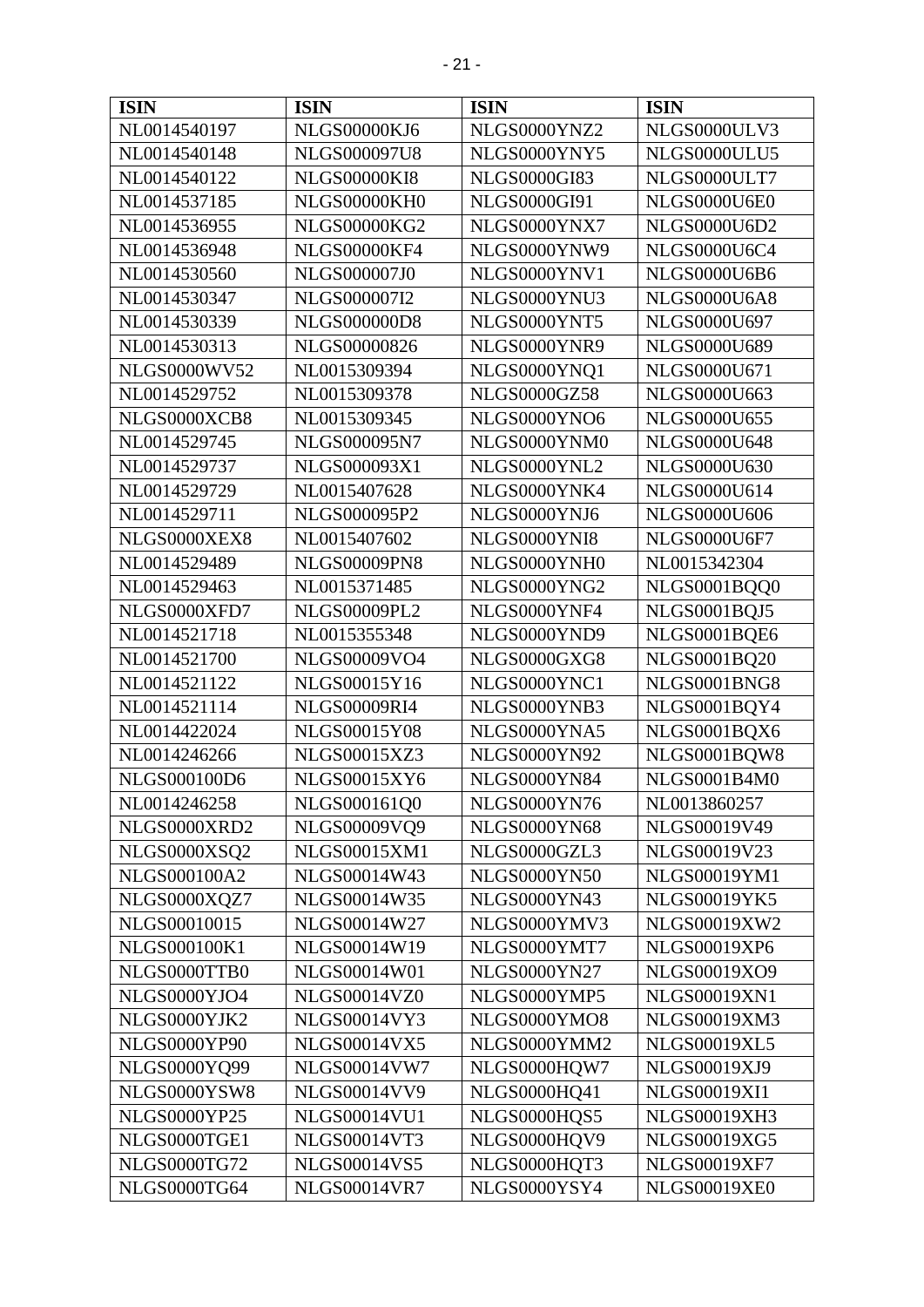| <b>ISIN</b>         | <b>ISIN</b>         | <b>ISIN</b>         | <b>ISIN</b>         |
|---------------------|---------------------|---------------------|---------------------|
| NL0014540197        | NLGS00000KJ6        | NLGS0000YNZ2        | NLGS0000ULV3        |
| NL0014540148        | <b>NLGS000097U8</b> | NLGS0000YNY5        | NLGS0000ULU5        |
| NL0014540122        | <b>NLGS00000KI8</b> | <b>NLGS0000GI83</b> | NLGS0000ULT7        |
| NL0014537185        | NLGS00000KH0        | <b>NLGS0000GI91</b> | NLGS0000U6E0        |
| NL0014536955        | <b>NLGS00000KG2</b> | NLGS0000YNX7        | <b>NLGS0000U6D2</b> |
| NL0014536948        | <b>NLGS00000KF4</b> | NLGS0000YNW9        | NLGS0000U6C4        |
| NL0014530560        | <b>NLGS000007J0</b> | NLGS0000YNV1        | <b>NLGS0000U6B6</b> |
| NL0014530347        | NLGS000007I2        | NLGS0000YNU3        | <b>NLGS0000U6A8</b> |
| NL0014530339        | <b>NLGS000000D8</b> | NLGS0000YNT5        | <b>NLGS0000U697</b> |
| NL0014530313        | NLGS00000826        | NLGS0000YNR9        | <b>NLGS0000U689</b> |
| NLGS0000WV52        | NL0015309394        | NLGS0000YNQ1        | NLGS0000U671        |
| NL0014529752        | NL0015309378        | <b>NLGS0000GZ58</b> | <b>NLGS0000U663</b> |
| NLGS0000XCB8        | NL0015309345        | NLGS0000YNO6        | <b>NLGS0000U655</b> |
| NL0014529745        | NLGS000095N7        | NLGS0000YNM0        | <b>NLGS0000U648</b> |
| NL0014529737        | NLGS000093X1        | NLGS0000YNL2        | <b>NLGS0000U630</b> |
| NL0014529729        | NL0015407628        | NLGS0000YNK4        | NLGS0000U614        |
| NL0014529711        | <b>NLGS000095P2</b> | NLGS0000YNJ6        | <b>NLGS0000U606</b> |
| NLGS0000XEX8        | NL0015407602        | NLGS0000YNI8        | <b>NLGS0000U6F7</b> |
| NL0014529489        | <b>NLGS00009PN8</b> | NLGS0000YNH0        | NL0015342304        |
| NL0014529463        | NL0015371485        | NLGS0000YNG2        | NLGS0001BQQ0        |
| NLGS0000XFD7        | <b>NLGS00009PL2</b> | NLGS0000YNF4        | NLGS0001BQJ5        |
| NL0014521718        | NL0015355348        | NLGS0000YND9        | NLGS0001BQE6        |
| NL0014521700        | NLGS00009VO4        | NLGS0000GXG8        | NLGS0001BQ20        |
| NL0014521122        | NLGS00015Y16        | NLGS0000YNC1        | NLGS0001BNG8        |
| NL0014521114        | NLGS00009RI4        | NLGS0000YNB3        | NLGS0001BQY4        |
| NL0014422024        | NLGS00015Y08        | NLGS0000YNA5        | NLGS0001BQX6        |
| NL0014246266        | <b>NLGS00015XZ3</b> | <b>NLGS0000YN92</b> | NLGS0001BQW8        |
| NLGS000100D6        | NLGS00015XY6        | NLGS0000YN84        | NLGS0001B4M0        |
| NL0014246258        | NLGS000161Q0        | NLGS0000YN76        | NL0013860257        |
| NLGS0000XRD2        | NLGS00009VQ9        | NLGS0000YN68        | NLGS00019V49        |
| NLGS0000XSQ2        | <b>NLGS00015XM1</b> | NLGS0000GZL3        | NLGS00019V23        |
| NLGS000100A2        | NLGS00014W43        | <b>NLGS0000YN50</b> | NLGS00019YM1        |
| NLGS0000XQZ7        | NLGS00014W35        | NLGS0000YN43        | <b>NLGS00019YK5</b> |
| NLGS00010015        | NLGS00014W27        | NLGS0000YMV3        | <b>NLGS00019XW2</b> |
| NLGS000100K1        | NLGS00014W19        | NLGS0000YMT7        | NLGS00019XP6        |
| NLGS0000TTB0        | NLGS00014W01        | <b>NLGS0000YN27</b> | NLGS00019XO9        |
| NLGS0000YJO4        | <b>NLGS00014VZ0</b> | NLGS0000YMP5        | NLGS00019XN1        |
| NLGS0000YJK2        | <b>NLGS00014VY3</b> | NLGS0000YMO8        | NLGS00019XM3        |
| NLGS0000YP90        | <b>NLGS00014VX5</b> | NLGS0000YMM2        | <b>NLGS00019XL5</b> |
| NLGS0000YQ99        | <b>NLGS00014VW7</b> | NLGS0000HQW7        | NLGS00019XJ9        |
| NLGS0000YSW8        | NLGS00014VV9        | <b>NLGS0000HQ41</b> | NLGS00019XI1        |
| <b>NLGS0000YP25</b> | <b>NLGS00014VU1</b> | NLGS0000HQS5        | NLGS00019XH3        |
| NLGS0000TGE1        | <b>NLGS00014VT3</b> | NLGS0000HQV9        | NLGS00019XG5        |
| NLGS0000TG72        | <b>NLGS00014VS5</b> | NLGS0000HQT3        | <b>NLGS00019XF7</b> |
| NLGS0000TG64        | <b>NLGS00014VR7</b> | NLGS0000YSY4        | <b>NLGS00019XE0</b> |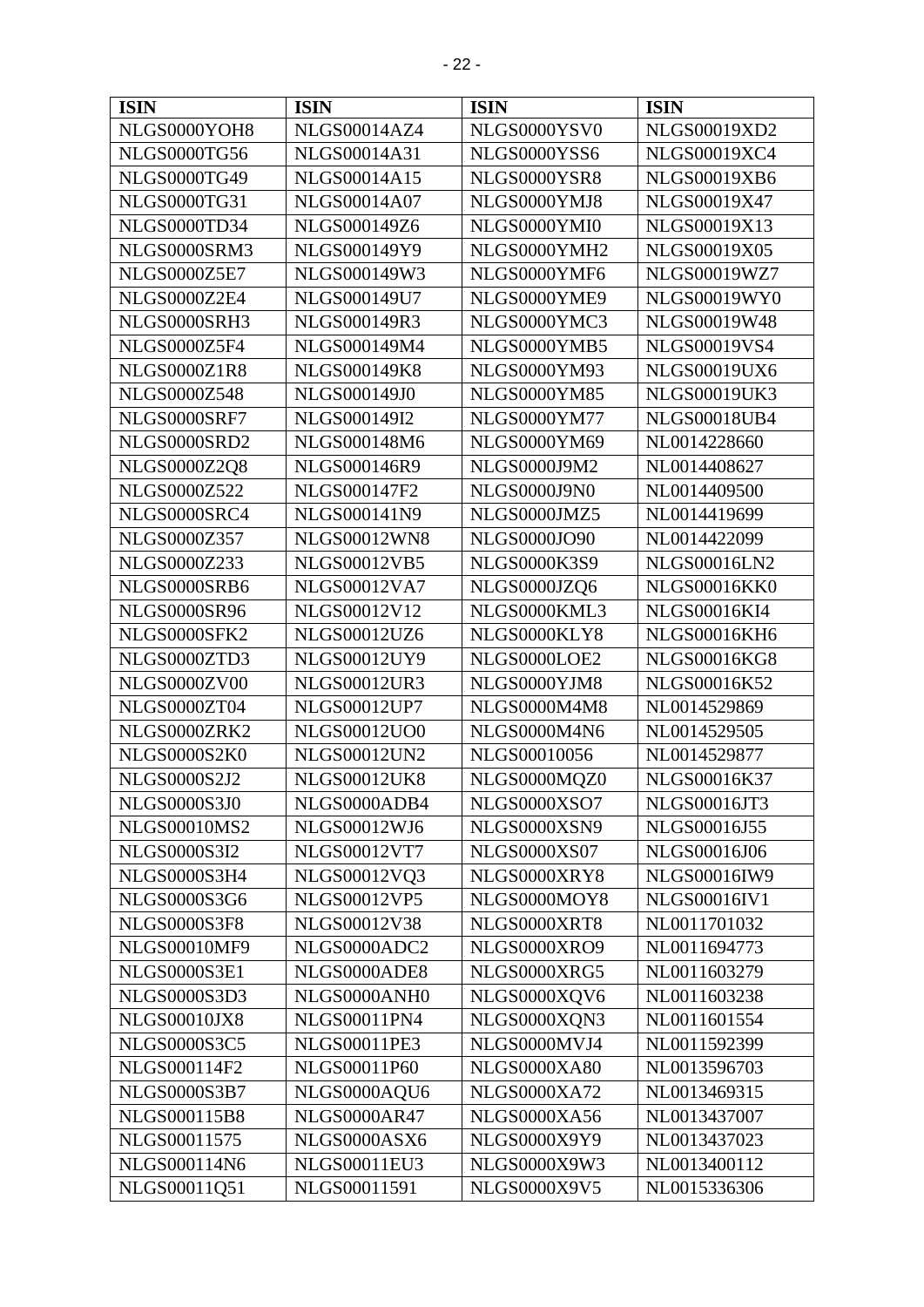| <b>ISIN</b>         | <b>ISIN</b>         | <b>ISIN</b>         | <b>ISIN</b>         |
|---------------------|---------------------|---------------------|---------------------|
| NLGS0000YOH8        | <b>NLGS00014AZ4</b> | NLGS0000YSV0        | NLGS00019XD2        |
| <b>NLGS0000TG56</b> | <b>NLGS00014A31</b> | NLGS0000YSS6        | <b>NLGS00019XC4</b> |
| <b>NLGS0000TG49</b> | <b>NLGS00014A15</b> | NLGS0000YSR8        | NLGS00019XB6        |
| <b>NLGS0000TG31</b> | NLGS00014A07        | NLGS0000YMJ8        | NLGS00019X47        |
| NLGS0000TD34        | NLGS000149Z6        | NLGS0000YMI0        | NLGS00019X13        |
| NLGS0000SRM3        | NLGS000149Y9        | NLGS0000YMH2        | NLGS00019X05        |
| <b>NLGS0000Z5E7</b> | NLGS000149W3        | NLGS0000YMF6        | NLGS00019WZ7        |
| NLGS0000Z2E4        | NLGS000149U7        | NLGS0000YME9        | NLGS00019WY0        |
| NLGS0000SRH3        | NLGS000149R3        | NLGS0000YMC3        | NLGS00019W48        |
| NLGS0000Z5F4        | NLGS000149M4        | NLGS0000YMB5        | <b>NLGS00019VS4</b> |
| <b>NLGS0000Z1R8</b> | <b>NLGS000149K8</b> | <b>NLGS0000YM93</b> | <b>NLGS00019UX6</b> |
| NLGS0000Z548        | NLGS000149J0        | <b>NLGS0000YM85</b> | <b>NLGS00019UK3</b> |
| NLGS0000SRF7        | NLGS000149I2        | <b>NLGS0000YM77</b> | <b>NLGS00018UB4</b> |
| NLGS0000SRD2        | <b>NLGS000148M6</b> | <b>NLGS0000YM69</b> | NL0014228660        |
| <b>NLGS0000Z2Q8</b> | NLGS000146R9        | NLGS0000J9M2        | NL0014408627        |
| NLGS0000Z522        | <b>NLGS000147F2</b> | NLGS0000J9N0        | NL0014409500        |
| NLGS0000SRC4        | <b>NLGS000141N9</b> | NLGS0000JMZ5        | NL0014419699        |
| NLGS0000Z357        | <b>NLGS00012WN8</b> | NLGS0000JO90        | NL0014422099        |
| NLGS0000Z233        | <b>NLGS00012VB5</b> | <b>NLGS0000K3S9</b> | <b>NLGS00016LN2</b> |
| NLGS0000SRB6        | <b>NLGS00012VA7</b> | NLGS0000JZQ6        | <b>NLGS00016KK0</b> |
| <b>NLGS0000SR96</b> | NLGS00012V12        | NLGS0000KML3        | <b>NLGS00016KI4</b> |
| NLGS0000SFK2        | NLGS00012UZ6        | NLGS0000KLY8        | <b>NLGS00016KH6</b> |
| NLGS0000ZTD3        | NLGS00012UY9        | NLGS0000LOE2        | <b>NLGS00016KG8</b> |
| <b>NLGS0000ZV00</b> | <b>NLGS00012UR3</b> | NLGS0000YJM8        | NLGS00016K52        |
| NLGS0000ZT04        | <b>NLGS00012UP7</b> | <b>NLGS0000M4M8</b> | NL0014529869        |
| NLGS0000ZRK2        | <b>NLGS00012UO0</b> | NLGS0000M4N6        | NL0014529505        |
| <b>NLGS0000S2K0</b> | <b>NLGS00012UN2</b> | NLGS00010056        | NL0014529877        |
| <b>NLGS0000S2J2</b> | <b>NLGS00012UK8</b> | NLGS0000MQZ0        | NLGS00016K37        |
| <b>NLGS0000S3J0</b> | NLGS0000ADB4        | <b>NLGS0000XSO7</b> | <b>NLGS00016JT3</b> |
| <b>NLGS00010MS2</b> | NLGS00012WJ6        | NLGS0000XSN9        | NLGS00016J55        |
| <b>NLGS0000S3I2</b> | <b>NLGS00012VT7</b> | <b>NLGS0000XS07</b> | NLGS00016J06        |
| NLGS0000S3H4        | NLGS00012VQ3        | NLGS0000XRY8        | <b>NLGS00016IW9</b> |
| NLGS0000S3G6        | <b>NLGS00012VP5</b> | NLGS0000MOY8        | <b>NLGS00016IV1</b> |
| <b>NLGS0000S3F8</b> | NLGS00012V38        | NLGS0000XRT8        | NL0011701032        |
| <b>NLGS00010MF9</b> | NLGS0000ADC2        | NLGS0000XRO9        | NL0011694773        |
| <b>NLGS0000S3E1</b> | NLGS0000ADE8        | NLGS0000XRG5        | NL0011603279        |
| <b>NLGS0000S3D3</b> | NLGS0000ANH0        | NLGS0000XQV6        | NL0011603238        |
| <b>NLGS00010JX8</b> | <b>NLGS00011PN4</b> | NLGS0000XQN3        | NL0011601554        |
| <b>NLGS0000S3C5</b> | <b>NLGS00011PE3</b> | NLGS0000MVJ4        | NL0011592399        |
| NLGS000114F2        | NLGS00011P60        | NLGS0000XA80        | NL0013596703        |
| <b>NLGS0000S3B7</b> | NLGS0000AQU6        | <b>NLGS0000XA72</b> | NL0013469315        |
| NLGS000115B8        | <b>NLGS0000AR47</b> | <b>NLGS0000XA56</b> | NL0013437007        |
| NLGS00011575        | NLGS0000ASX6        | NLGS0000X9Y9        | NL0013437023        |
| NLGS000114N6        | <b>NLGS00011EU3</b> | NLGS0000X9W3        | NL0013400112        |
| NLGS00011Q51        | NLGS00011591        | NLGS0000X9V5        | NL0015336306        |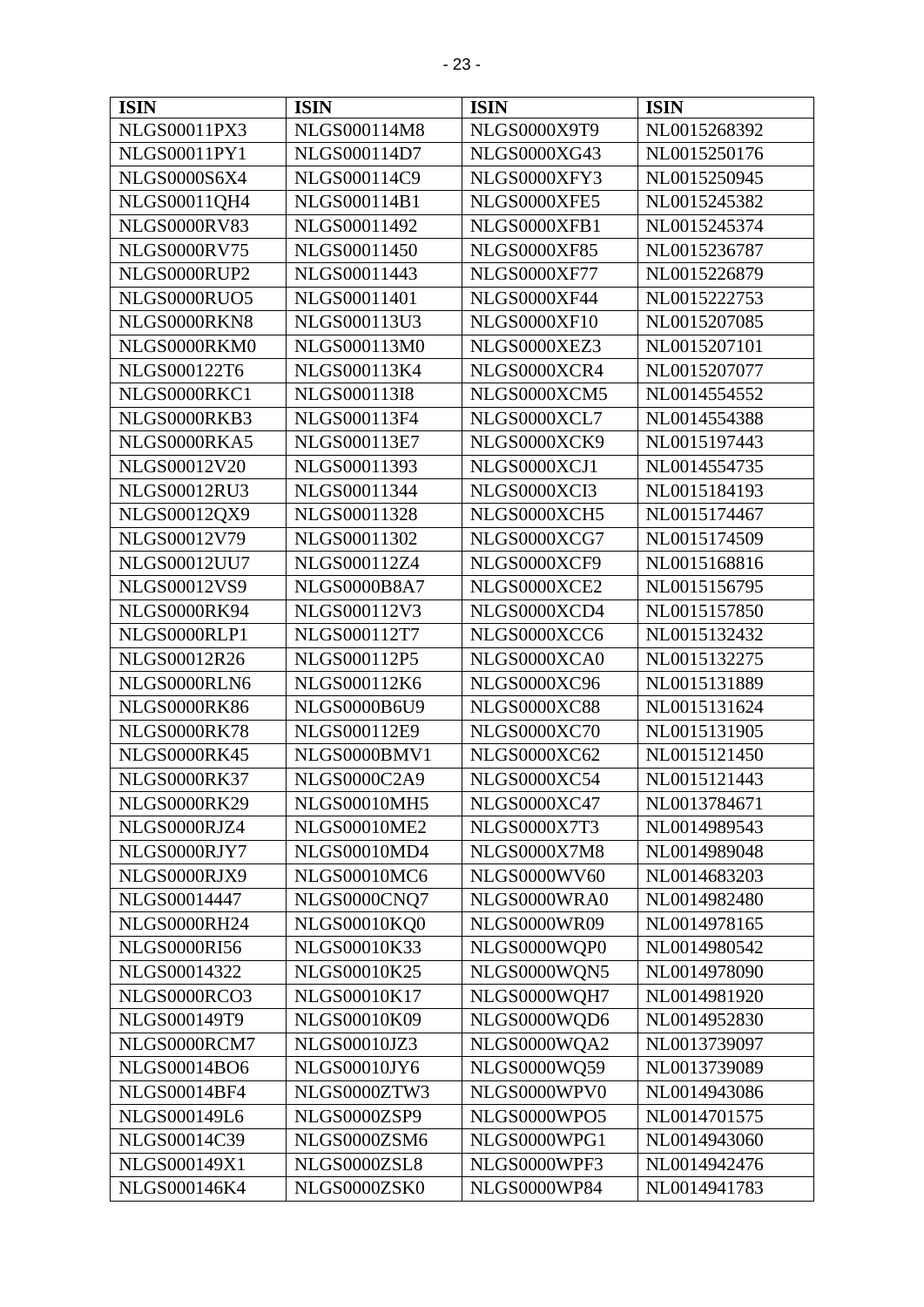| <b>ISIN</b>         | <b>ISIN</b>         | <b>ISIN</b>         | <b>ISIN</b>  |
|---------------------|---------------------|---------------------|--------------|
| <b>NLGS00011PX3</b> | NLGS000114M8        | NLGS0000X9T9        | NL0015268392 |
| NLGS00011PY1        | NLGS000114D7        | <b>NLGS0000XG43</b> | NL0015250176 |
| <b>NLGS0000S6X4</b> | NLGS000114C9        | NLGS0000XFY3        | NL0015250945 |
| NLGS00011QH4        | NLGS000114B1        | NLGS0000XFE5        | NL0015245382 |
| <b>NLGS0000RV83</b> | NLGS00011492        | NLGS0000XFB1        | NL0015245374 |
| <b>NLGS0000RV75</b> | NLGS00011450        | <b>NLGS0000XF85</b> | NL0015236787 |
| NLGS0000RUP2        | NLGS00011443        | <b>NLGS0000XF77</b> | NL0015226879 |
| NLGS0000RUO5        | NLGS00011401        | NLGS0000XF44        | NL0015222753 |
| NLGS0000RKN8        | NLGS000113U3        | <b>NLGS0000XF10</b> | NL0015207085 |
| NLGS0000RKM0        | NLGS000113M0        | NLGS0000XEZ3        | NL0015207101 |
| NLGS000122T6        | NLGS000113K4        | NLGS0000XCR4        | NL0015207077 |
| NLGS0000RKC1        | NLGS000113I8        | NLGS0000XCM5        | NL0014554552 |
| NLGS0000RKB3        | NLGS000113F4        | NLGS0000XCL7        | NL0014554388 |
| NLGS0000RKA5        | NLGS000113E7        | NLGS0000XCK9        | NL0015197443 |
| NLGS00012V20        | NLGS00011393        | NLGS0000XCJ1        | NL0014554735 |
| <b>NLGS00012RU3</b> | NLGS00011344        | NLGS0000XCI3        | NL0015184193 |
| NLGS00012QX9        | NLGS00011328        | NLGS0000XCH5        | NL0015174467 |
| NLGS00012V79        | NLGS00011302        | NLGS0000XCG7        | NL0015174509 |
| <b>NLGS00012UU7</b> | NLGS000112Z4        | NLGS0000XCF9        | NL0015168816 |
| NLGS00012VS9        | NLGS0000B8A7        | NLGS0000XCE2        | NL0015156795 |
| NLGS0000RK94        | NLGS000112V3        | NLGS0000XCD4        | NL0015157850 |
| NLGS0000RLP1        | NLGS000112T7        | NLGS0000XCC6        | NL0015132432 |
| NLGS00012R26        | NLGS000112P5        | NLGS0000XCA0        | NL0015132275 |
| NLGS0000RLN6        | <b>NLGS000112K6</b> | <b>NLGS0000XC96</b> | NL0015131889 |
| <b>NLGS0000RK86</b> | <b>NLGS0000B6U9</b> | NLGS0000XC88        | NL0015131624 |
| <b>NLGS0000RK78</b> | NLGS000112E9        | <b>NLGS0000XC70</b> | NL0015131905 |
| <b>NLGS0000RK45</b> | NLGS0000BMV1        | <b>NLGS0000XC62</b> | NL0015121450 |
| <b>NLGS0000RK37</b> | <b>NLGS0000C2A9</b> | NLGS0000XC54        | NL0015121443 |
| <b>NLGS0000RK29</b> | <b>NLGS00010MH5</b> | <b>NLGS0000XC47</b> | NL0013784671 |
| NLGS0000RJZ4        | <b>NLGS00010ME2</b> | <b>NLGS0000X7T3</b> | NL0014989543 |
| NLGS0000RJY7        | NLGS00010MD4        | NLGS0000X7M8        | NL0014989048 |
| NLGS0000RJX9        | <b>NLGS00010MC6</b> | NLGS0000WV60        | NL0014683203 |
| NLGS00014447        | NLGS0000CNQ7        | NLGS0000WRA0        | NL0014982480 |
| NLGS0000RH24        | <b>NLGS00010KQ0</b> | NLGS0000WR09        | NL0014978165 |
| <b>NLGS0000RI56</b> | NLGS00010K33        | NLGS0000WQP0        | NL0014980542 |
| NLGS00014322        | NLGS00010K25        | NLGS0000WQN5        | NL0014978090 |
| NLGS0000RCO3        | NLGS00010K17        | NLGS0000WQH7        | NL0014981920 |
| NLGS000149T9        | NLGS00010K09        | NLGS0000WQD6        | NL0014952830 |
| NLGS0000RCM7        | NLGS00010JZ3        | NLGS0000WQA2        | NL0013739097 |
| <b>NLGS00014BO6</b> | NLGS00010JY6        | NLGS0000WQ59        | NL0013739089 |
| <b>NLGS00014BF4</b> | NLGS0000ZTW3        | NLGS0000WPV0        | NL0014943086 |
| NLGS000149L6        | NLGS0000ZSP9        | NLGS0000WPO5        | NL0014701575 |
| NLGS00014C39        | NLGS0000ZSM6        | NLGS0000WPG1        | NL0014943060 |
| NLGS000149X1        | NLGS0000ZSL8        | NLGS0000WPF3        | NL0014942476 |
| NLGS000146K4        | NLGS0000ZSK0        | NLGS0000WP84        | NL0014941783 |